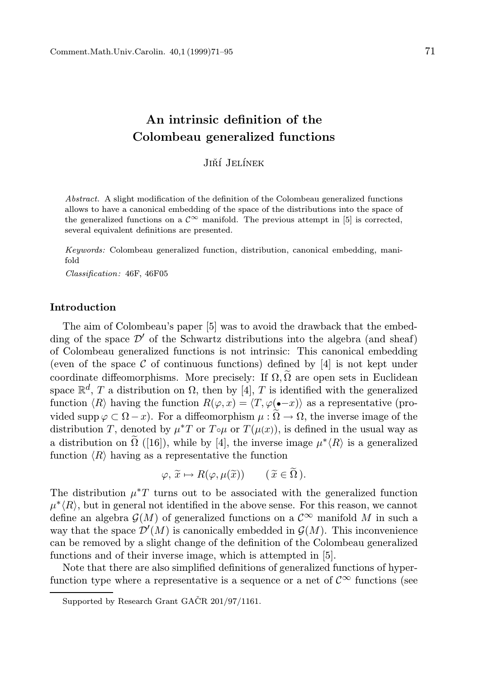#### Jiří Jelínek

Colombeau generalized functions

Abstract. A slight modification of the definition of the Colombeau generalized functions allows to have a canonical embedding of the space of the distributions into the space of the generalized functions on a  $\mathcal{C}^{\infty}$  manifold. The previous attempt in [5] is corrected, several equivalent definitions are presented.

Keywords: Colombeau generalized function, distribution, canonical embedding, manifold

Classification: 46F, 46F05

#### Introduction

The aim of Colombeau's paper [5] was to avoid the drawback that the embedding of the space  $\mathcal{D}'$  of the Schwartz distributions into the algebra (and sheaf) of Colombeau generalized functions is not intrinsic: This canonical embedding (even of the space  $\mathcal C$  of continuous functions) defined by [4] is not kept under coordinate diffeomorphisms. More precisely: If  $\Omega$ ,  $\tilde{\Omega}$  are open sets in Euclidean space  $\mathbb{R}^d$ , T a distribution on  $\Omega$ , then by [4], T is identified with the generalized function  $\langle R \rangle$  having the function  $R(\varphi, x) = \langle T, \varphi(\bullet - x) \rangle$  as a representative (provided supp  $\varphi \subset \Omega - x$ ). For a diffeomorphism  $\mu : \widetilde{\Omega} \to \Omega$ , the inverse image of the distribution T, denoted by  $\mu^*$ T or  $T \circ \mu$  or  $T(\mu(x))$ , is defined in the usual way as a distribution on  $\tilde{\Omega}$  ([16]), while by [4], the inverse image  $\mu^* \langle R \rangle$  is a generalized function  $\langle R \rangle$  having as a representative the function

$$
\varphi, \widetilde{x} \mapsto R(\varphi, \mu(\widetilde{x})) \qquad (\widetilde{x} \in \Omega).
$$

The distribution  $\mu^*T$  turns out to be associated with the generalized function  $\mu^*(R)$ , but in general not identified in the above sense. For this reason, we cannot define an algebra  $\mathcal{G}(M)$  of generalized functions on a  $\mathcal{C}^{\infty}$  manifold M in such a way that the space  $\mathcal{D}'(M)$  is canonically embedded in  $\mathcal{G}(M)$ . This inconvenience can be removed by a slight change of the definition of the Colombeau generalized functions and of their inverse image, which is attempted in [5].

Note that there are also simplified definitions of generalized functions of hyperfunction type where a representative is a sequence or a net of  $\mathcal{C}^{\infty}$  functions (see

Supported by Research Grant GAČR  $201/97/1161$ .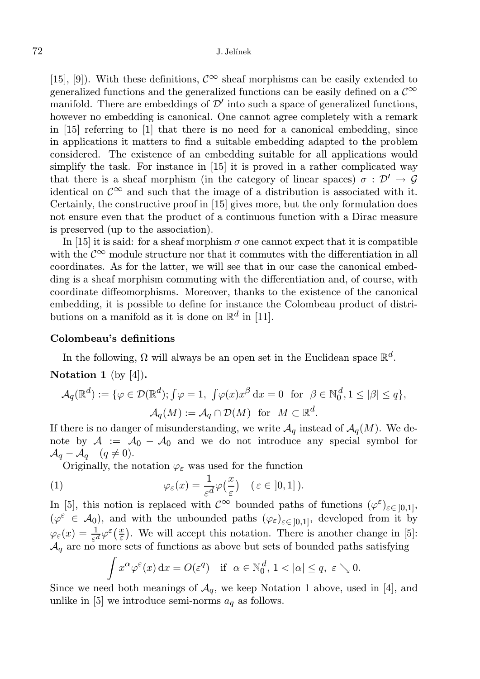### 72 J. Jel´ınek

[15], [9]). With these definitions,  $\mathcal{C}^{\infty}$  sheaf morphisms can be easily extended to generalized functions and the generalized functions can be easily defined on a  $\mathcal{C}^{\infty}$ manifold. There are embeddings of  $\mathcal{D}'$  into such a space of generalized functions, however no embedding is canonical. One cannot agree completely with a remark in [15] referring to [1] that there is no need for a canonical embedding, since in applications it matters to find a suitable embedding adapted to the problem considered. The existence of an embedding suitable for all applications would simplify the task. For instance in [15] it is proved in a rather complicated way that there is a sheaf morphism (in the category of linear spaces)  $\sigma : \mathcal{D}' \to \mathcal{G}$ identical on  $\mathcal{C}^{\infty}$  and such that the image of a distribution is associated with it. Certainly, the constructive proof in [15] gives more, but the only formulation does not ensure even that the product of a continuous function with a Dirac measure is preserved (up to the association).

In [15] it is said: for a sheaf morphism  $\sigma$  one cannot expect that it is compatible with the  $\mathcal{C}^{\infty}$  module structure nor that it commutes with the differentiation in all coordinates. As for the latter, we will see that in our case the canonical embedding is a sheaf morphism commuting with the differentiation and, of course, with coordinate diffeomorphisms. Moreover, thanks to the existence of the canonical embedding, it is possible to define for instance the Colombeau product of distributions on a manifold as it is done on  $\mathbb{R}^d$  in [11].

## Colombeau's definitions

In the following,  $\Omega$  will always be an open set in the Euclidean space  $\mathbb{R}^d$ .

**Notation 1** (by 
$$
[4]
$$
).

$$
\mathcal{A}_q(\mathbb{R}^d) := \{ \varphi \in \mathcal{D}(\mathbb{R}^d); \int \varphi = 1, \int \varphi(x) x^{\beta} dx = 0 \text{ for } \beta \in \mathbb{N}_0^d, 1 \leq |\beta| \leq q \},
$$
  

$$
\mathcal{A}_q(M) := \mathcal{A}_q \cap \mathcal{D}(M) \text{ for } M \subset \mathbb{R}^d.
$$

If there is no danger of misunderstanding, we write  $\mathcal{A}_q$  instead of  $\mathcal{A}_q(M)$ . We denote by  $A := A_0 - A_0$  and we do not introduce any special symbol for  $\mathcal{A}_q - \mathcal{A}_q \quad (q \neq 0).$ 

Originally, the notation  $\varphi_{\varepsilon}$  was used for the function

(1) 
$$
\varphi_{\varepsilon}(x) = \frac{1}{\varepsilon^{d}} \varphi\left(\frac{x}{\varepsilon}\right) \quad (\varepsilon \in [0,1]).
$$

In [5], this notion is replaced with  $\mathcal{C}^{\infty}$  bounded paths of functions  $(\varphi^{\varepsilon})_{\varepsilon \in [0,1]},$  $(\varphi^{\varepsilon} \in A_0)$ , and with the unbounded paths  $(\varphi_{\varepsilon})_{\varepsilon \in [0,1]},$  developed from it by  $\varphi_{\varepsilon}(x) = \frac{1}{\varepsilon^{d}} \varphi^{\varepsilon}(\frac{x}{\varepsilon})$ . We will accept this notation. There is another change in [5]:  $\mathcal{A}_q$  are no more sets of functions as above but sets of bounded paths satisfying

$$
\int x^{\alpha} \varphi^{\varepsilon}(x) dx = O(\varepsilon^{q}) \quad \text{if} \quad \alpha \in \mathbb{N}_0^d, 1 < |\alpha| \leq q, \ \varepsilon \searrow 0.
$$

Since we need both meanings of  $A_q$ , we keep Notation 1 above, used in [4], and unlike in [5] we introduce semi-norms  $a<sub>q</sub>$  as follows.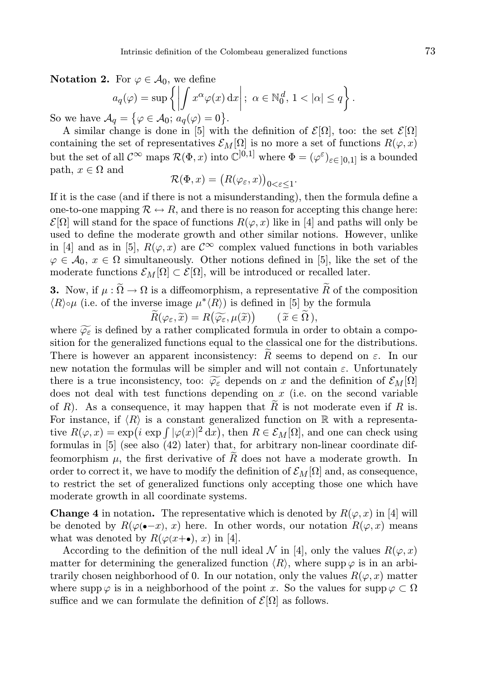Notation 2. For  $\varphi \in \mathcal{A}_0$ , we define

$$
a_q(\varphi) = \sup \left\{ \left| \int x^{\alpha} \varphi(x) dx \right|; \ \alpha \in \mathbb{N}_0^d, 1 < |\alpha| \le q \right\}
$$

So we have  $\mathcal{A}_q = \{ \varphi \in \mathcal{A}_0; a_q(\varphi) = 0 \}.$ 

A similar change is done in [5] with the definition of  $\mathcal{E}[\Omega]$ , too: the set  $\mathcal{E}[\Omega]$ containing the set of representatives  $\mathcal{E}_M[\Omega]$  is no more a set of functions  $R(\varphi, x)$ but the set of all  $\mathcal{C}^{\infty}$  maps  $\mathcal{R}(\Phi, x)$  into  $\mathbb{C}^{[0,1]}$  where  $\Phi = (\varphi^{\varepsilon})_{\varepsilon \in [0,1]}$  is a bounded path,  $x \in \Omega$  and

$$
\mathcal{R}(\Phi, x) = (R(\varphi_{\varepsilon}, x))_{0 < \varepsilon \le 1}.
$$

If it is the case (and if there is not a misunderstanding), then the formula define a one-to-one mapping  $\mathcal{R} \leftrightarrow \mathcal{R}$ , and there is no reason for accepting this change here:  $\mathcal{E}[\Omega]$  will stand for the space of functions  $R(\varphi, x)$  like in [4] and paths will only be used to define the moderate growth and other similar notions. However, unlike in [4] and as in [5],  $R(\varphi, x)$  are  $\mathcal{C}^{\infty}$  complex valued functions in both variables  $\varphi \in \mathcal{A}_0, x \in \Omega$  simultaneously. Other notions defined in [5], like the set of the moderate functions  $\mathcal{E}_M[\Omega] \subset \mathcal{E}[\Omega]$ , will be introduced or recalled later.

**3.** Now, if  $\mu : \widetilde{\Omega} \to \Omega$  is a diffeomorphism, a representative  $\widetilde{R}$  of the composition  $\langle R \rangle \circ \mu$  (i.e. of the inverse image  $\mu^* \langle R \rangle$ ) is defined in [5] by the formula

 $\widetilde{R}(\varphi_\varepsilon, \widetilde{x}) = R(\widetilde{\varphi_\varepsilon}, \mu(\widetilde{x}))$  $(\widetilde{x} \in \Omega),$ 

where  $\widetilde{\varphi_{\varepsilon}}$  is defined by a rather complicated formula in order to obtain a composition for the generalized functions equal to the classical one for the distributions. There is however an apparent inconsistency: R seems to depend on  $\varepsilon$ . In our new notation the formulas will be simpler and will not contain  $\varepsilon$ . Unfortunately there is a true inconsistency, too:  $\widetilde{\varphi_{\varepsilon}}$  depends on x and the definition of  $\mathcal{E}_M[\Omega]$ does not deal with test functions depending on  $x$  (i.e. on the second variable of R). As a consequence, it may happen that  $\widetilde{R}$  is not moderate even if R is. For instance, if  $\langle R \rangle$  is a constant generalized function on R with a representative  $R(\varphi, x) = \exp(i \exp \int |\varphi(x)|^2 dx)$ , then  $R \in \mathcal{E}_M[\Omega]$ , and one can check using formulas in [5] (see also (42) later) that, for arbitrary non-linear coordinate diffeomorphism  $\mu$ , the first derivative of  $R$  does not have a moderate growth. In order to correct it, we have to modify the definition of  $\mathcal{E}_M[\Omega]$  and, as consequence, to restrict the set of generalized functions only accepting those one which have moderate growth in all coordinate systems.

**Change 4** in notation. The representative which is denoted by  $R(\varphi, x)$  in [4] will be denoted by  $R(\varphi(-x), x)$  here. In other words, our notation  $R(\varphi, x)$  means what was denoted by  $R(\varphi(x+\bullet), x)$  in [4].

According to the definition of the null ideal  $\mathcal N$  in [4], only the values  $R(\varphi, x)$ matter for determining the generalized function  $\langle R \rangle$ , where supp  $\varphi$  is in an arbitrarily chosen neighborhood of 0. In our notation, only the values  $R(\varphi, x)$  matter where supp  $\varphi$  is in a neighborhood of the point x. So the values for supp  $\varphi \subset \Omega$ suffice and we can formulate the definition of  $\mathcal{E}[\Omega]$  as follows.

.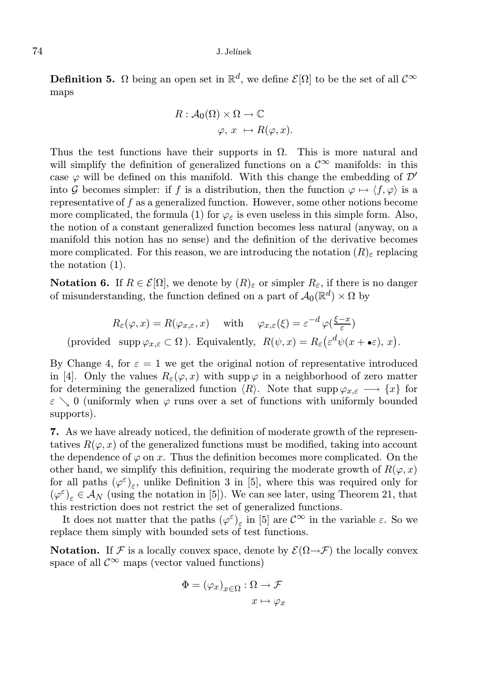#### 74 J. Jel´ınek

**Definition 5.**  $\Omega$  being an open set in  $\mathbb{R}^d$ , we define  $\mathcal{E}[\Omega]$  to be the set of all  $\mathcal{C}^{\infty}$ maps

$$
R: \mathcal{A}_0(\Omega) \times \Omega \to \mathbb{C}
$$
  

$$
\varphi, x \mapsto R(\varphi, x).
$$

Thus the test functions have their supports in  $\Omega$ . This is more natural and will simplify the definition of generalized functions on a  $\mathcal{C}^{\infty}$  manifolds: in this case  $\varphi$  will be defined on this manifold. With this change the embedding of  $\mathcal{D}'$ into G becomes simpler: if f is a distribution, then the function  $\varphi \mapsto \langle f, \varphi \rangle$  is a representative of f as a generalized function. However, some other notions become more complicated, the formula (1) for  $\varphi_{\varepsilon}$  is even useless in this simple form. Also, the notion of a constant generalized function becomes less natural (anyway, on a manifold this notion has no sense) and the definition of the derivative becomes more complicated. For this reason, we are introducing the notation  $(R)_{\varepsilon}$  replacing the notation (1).

**Notation 6.** If  $R \in \mathcal{E}[\Omega]$ , we denote by  $(R)_{\varepsilon}$  or simpler  $R_{\varepsilon}$ , if there is no danger of misunderstanding, the function defined on a part of  $\mathcal{A}_0(\mathbb{R}^d) \times \Omega$  by

$$
R_{\varepsilon}(\varphi, x) = R(\varphi_{x,\varepsilon}, x) \quad \text{ with } \quad \varphi_{x,\varepsilon}(\xi) = \varepsilon^{-d} \varphi(\frac{\xi - x}{\varepsilon})
$$
  
(provided  $\operatorname{supp} \varphi_{x,\varepsilon} \subset \Omega$ ). Equivalently,  $R(\psi, x) = R_{\varepsilon} \left( \varepsilon^d \psi(x + \bullet \varepsilon), x \right)$ .

By Change 4, for  $\varepsilon = 1$  we get the original notion of representative introduced in [4]. Only the values  $R_{\varepsilon}(\varphi, x)$  with supp  $\varphi$  in a neighborhood of zero matter for determining the generalized function  $\langle R \rangle$ . Note that  $\supp \varphi_{x,\varepsilon} \longrightarrow \{x\}$  for  $\varepsilon \searrow 0$  (uniformly when  $\varphi$  runs over a set of functions with uniformly bounded supports).

7. As we have already noticed, the definition of moderate growth of the representatives  $R(\varphi, x)$  of the generalized functions must be modified, taking into account the dependence of  $\varphi$  on x. Thus the definition becomes more complicated. On the other hand, we simplify this definition, requiring the moderate growth of  $R(\varphi, x)$ for all paths  $(\varphi^{\varepsilon})_{\varepsilon}$ , unlike Definition 3 in [5], where this was required only for  $(\varphi^{\varepsilon})_{\varepsilon} \in \mathcal{A}_N$  (using the notation in [5]). We can see later, using Theorem 21, that this restriction does not restrict the set of generalized functions.

It does not matter that the paths  $(\varphi^{\varepsilon})_{\varepsilon}$  in [5] are  $\mathcal{C}^{\infty}$  in the variable  $\varepsilon$ . So we replace them simply with bounded sets of test functions.

**Notation.** If F is a locally convex space, denote by  $\mathcal{E}(\Omega \rightarrow \mathcal{F})$  the locally convex space of all  $\mathcal{C}^{\infty}$  maps (vector valued functions)

$$
\Phi = (\varphi_x)_{x \in \Omega} : \Omega \to \mathcal{F}
$$

$$
x \mapsto \varphi_x
$$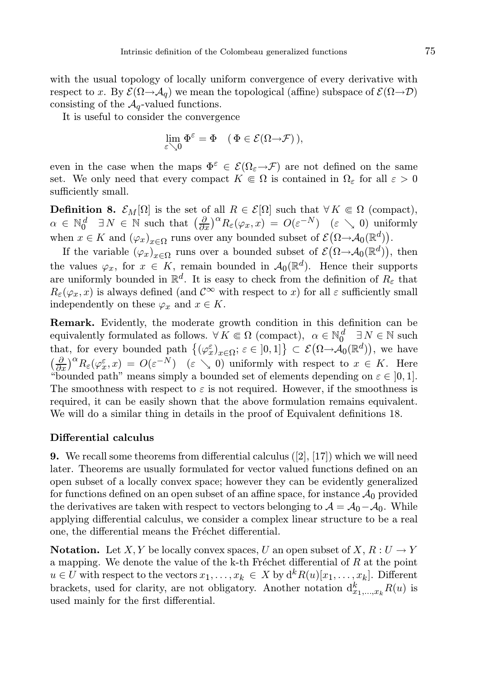with the usual topology of locally uniform convergence of every derivative with respect to x. By  $\mathcal{E}(\Omega \to A_q)$  we mean the topological (affine) subspace of  $\mathcal{E}(\Omega \to \mathcal{D})$ consisting of the  $A_q$ -valued functions.

It is useful to consider the convergence

$$
\lim_{\varepsilon \searrow 0} \Phi^{\varepsilon} = \Phi \quad (\Phi \in \mathcal{E}(\Omega \to \mathcal{F})),
$$

even in the case when the maps  $\Phi^{\varepsilon} \in \mathcal{E}(\Omega_{\varepsilon} \to \mathcal{F})$  are not defined on the same set. We only need that every compact  $K \in \Omega$  is contained in  $\Omega_{\varepsilon}$  for all  $\varepsilon > 0$ sufficiently small.

**Definition 8.**  $\mathcal{E}_M[\Omega]$  is the set of all  $R \in \mathcal{E}[\Omega]$  such that  $\forall K \subseteq \Omega$  (compact),  $\alpha \in \mathbb{N}_0^d \quad \exists N \in \mathbb{N}$  such that  $\left(\frac{\partial}{\partial x}\right)^{\alpha} R_{\varepsilon}(\varphi_x, x) = O(\varepsilon^{-N}) \quad (\varepsilon \searrow 0)$  uniformly when  $x \in K$  and  $(\varphi_x)_{x \in \Omega}$  runs over any bounded subset of  $\mathcal{E}(\Omega \to \mathcal{A}_0(\mathbb{R}^d))$ .

If the variable  $(\varphi_x)_{x \in \Omega}$  runs over a bounded subset of  $\mathcal{E}(\Omega \to \mathcal{A}_0(\mathbb{R}^d))$ , then the values  $\varphi_x$ , for  $x \in K$ , remain bounded in  $\mathcal{A}_0(\mathbb{R}^d)$ . Hence their supports are uniformly bounded in  $\mathbb{R}^d$ . It is easy to check from the definition of  $R_{\varepsilon}$  that  $R_{\varepsilon}(\varphi_x, x)$  is always defined (and  $\mathcal{C}^{\infty}$  with respect to x) for all  $\varepsilon$  sufficiently small independently on these  $\varphi_x$  and  $x \in K$ .

Remark. Evidently, the moderate growth condition in this definition can be equivalently formulated as follows.  $\forall K \in \Omega$  (compact),  $\alpha \in \mathbb{N}_0^d$   $\exists N \in \mathbb{N}$  such that, for every bounded path  $\{(\varphi_x^{\varepsilon})_{x \in \Omega}; \varepsilon \in ]0,1]\} \subset \mathcal{E}(\Omega \to \mathcal{A}_0(\mathbb{R}^d)),$  we have  $\left(\frac{\partial}{\partial x}\right)^{\alpha}R_{\varepsilon}(\varphi_x^{\varepsilon},x) = O(\varepsilon^{-N})$  ( $\varepsilon \searrow 0$ ) uniformly with respect to  $x \in K$ . Here "bounded path" means simply a bounded set of elements depending on  $\varepsilon \in [0, 1]$ . The smoothness with respect to  $\varepsilon$  is not required. However, if the smoothness is required, it can be easily shown that the above formulation remains equivalent. We will do a similar thing in details in the proof of Equivalent definitions 18.

#### Differential calculus

**9.** We recall some theorems from differential calculus  $(|2|, |17|)$  which we will need later. Theorems are usually formulated for vector valued functions defined on an open subset of a locally convex space; however they can be evidently generalized for functions defined on an open subset of an affine space, for instance  $\mathcal{A}_0$  provided the derivatives are taken with respect to vectors belonging to  $\mathcal{A} = \mathcal{A}_0 - \mathcal{A}_0$ . While applying differential calculus, we consider a complex linear structure to be a real one, the differential means the Fréchet differential.

**Notation.** Let X, Y be locally convex spaces, U an open subset of X,  $R: U \to Y$ a mapping. We denote the value of the k-th Fréchet differential of  $R$  at the point  $u \in U$  with respect to the vectors  $x_1, \ldots, x_k \in X$  by  $d^k R(u)[x_1, \ldots, x_k]$ . Different brackets, used for clarity, are not obligatory. Another notation  $d_{x_1,\dots,x_k}^k R(u)$  is used mainly for the first differential.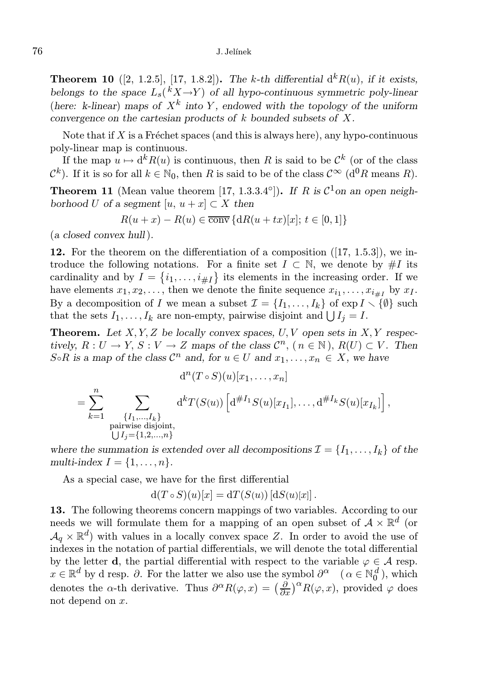**Theorem 10** ([2, 1.2.5], [17, 1.8.2]). The k-th differential  $d^k R(u)$ , if it exists, belongs to the space  $L_s({}^k X \rightarrow Y)$  of all hypo-continuous symmetric poly-linear (here: k-linear) maps of  $X^k$  into Y, endowed with the topology of the uniform convergence on the cartesian products of  $k$  bounded subsets of  $X$ .

Note that if X is a Fréchet spaces (and this is always here), any hypo-continuous poly-linear map is continuous.

If the map  $u \mapsto d^k R(u)$  is continuous, then R is said to be  $\mathcal{C}^k$  (or of the class  $\mathcal{C}^k$ ). If it is so for all  $k \in \mathbb{N}_0$ , then R is said to be of the class  $\mathcal{C}^{\infty}$  (d<sup>0</sup>R means R).

**Theorem 11** (Mean value theorem [17, 1.3.3.4°]). If R is  $C^1$  on an open neighborhood U of a segment  $[u, u + x] \subset X$  then

$$
R(u+x) - R(u) \in \overline{\text{conv}} \{ dR(u+tx)[x]; t \in [0,1] \}
$$

(a closed convex hull).

**12.** For the theorem on the differentiation of a composition  $([17, 1.5.3])$ , we introduce the following notations. For a finite set  $I \subset \mathbb{N}$ , we denote by #I its cardinality and by  $I = \{i_1, \ldots, i_{\# I}\}\$  its elements in the increasing order. If we have elements  $x_1, x_2, \ldots$ , then we denote the finite sequence  $x_{i_1}, \ldots, x_{i_{\# I}}$  by  $x_I$ . By a decomposition of I we mean a subset  $\mathcal{I} = \{I_1, \ldots, I_k\}$  of  $\exp I \setminus {\mathcal{P}(\emptyset)}$  such that the sets  $I_1, \ldots, I_k$  are non-empty, pairwise disjoint and  $\bigcup I_j = I$ .

**Theorem.** Let  $X, Y, Z$  be locally convex spaces,  $U, V$  open sets in  $X, Y$  respectively,  $R: U \to Y$ ,  $S: V \to Z$  maps of the class  $\mathcal{C}^n$ ,  $(n \in \mathbb{N})$ ,  $R(U) \subset V$ . Then S∘R is a map of the class  $\mathcal{C}^n$  and, for  $u \in U$  and  $x_1, \ldots, x_n \in X$ , we have

$$
d^{n}(T \circ S)(u)[x_{1},...,x_{n}]
$$
  
= 
$$
\sum_{k=1}^{n} \sum_{\substack{\{I_{1},...,I_{k}\} \text{ pairwise disjoint,} \\ \text{pairwise disjoint,} \\ \bigcup I_{j}=\{1,2,...,n\}}} d^{k}T(S(u)) \left[d^{\#I_{1}}S(u)[x_{I_{1}}],...,d^{\#I_{k}}S(u)[x_{I_{k}}]\right],
$$

where the summation is extended over all decompositions  $\mathcal{I} = \{I_1, \ldots, I_k\}$  of the multi-index  $I = \{1, \ldots, n\}.$ 

As a special case, we have for the first differential

$$
d(T \circ S)(u)[x] = dT(S(u)) [dS(u)[x]].
$$

13. The following theorems concern mappings of two variables. According to our needs we will formulate them for a mapping of an open subset of  $A \times \mathbb{R}^d$  (or  $\mathcal{A}_q \times \mathbb{R}^d$  with values in a locally convex space Z. In order to avoid the use of indexes in the notation of partial differentials, we will denote the total differential by the letter **d**, the partial differential with respect to the variable  $\varphi \in A$  resp.  $x \in \mathbb{R}^d$  by d resp.  $\partial$ . For the latter we also use the symbol  $\partial^\alpha$  ( $\alpha \in \mathbb{N}_0^d$ ), which denotes the  $\alpha$ -th derivative. Thus  $\partial^{\alpha}R(\varphi, x) = \left(\frac{\partial}{\partial x}\right)^{\alpha}R(\varphi, x)$ , provided  $\varphi$  does not depend on x.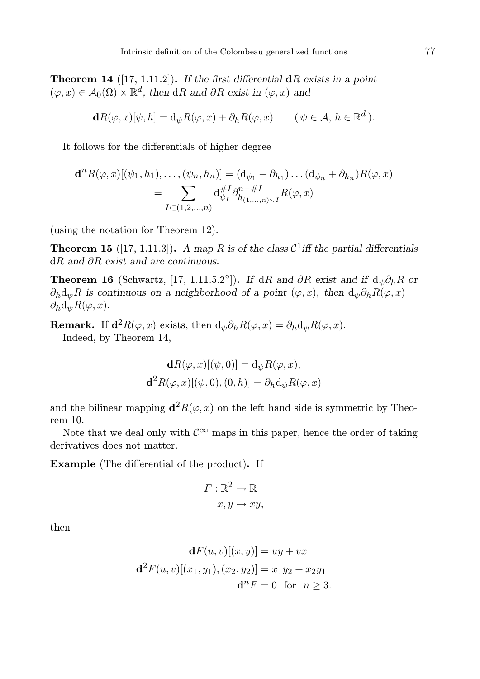**Theorem 14** ([17, 1.11.2]). If the first differential  $dR$  exists in a point  $(\varphi, x) \in \mathcal{A}_0(\Omega) \times \mathbb{R}^d$ , then dR and  $\partial R$  exist in  $(\varphi, x)$  and

$$
\mathbf{d}R(\varphi, x)[\psi, h] = \mathrm{d}_{\psi}R(\varphi, x) + \partial_h R(\varphi, x) \qquad (\psi \in \mathcal{A}, h \in \mathbb{R}^d).
$$

It follows for the differentials of higher degree

$$
\mathbf{d}^{n} R(\varphi, x) [(\psi_1, h_1), \dots, (\psi_n, h_n)] = (\mathbf{d}_{\psi_1} + \partial_{h_1}) \dots (\mathbf{d}_{\psi_n} + \partial_{h_n}) R(\varphi, x)
$$
  
= 
$$
\sum_{I \subset (1, 2, \dots, n)} \mathbf{d}_{\psi_I}^{\#I} \partial_{h_{(1, \dots, n)} \sim I}^{n - \#I} R(\varphi, x)
$$

(using the notation for Theorem 12).

**Theorem 15** ([17, 1.11.3]). A map R is of the class  $C^1$  iff the partial differentials dR and ∂R exist and are continuous.

**Theorem 16** (Schwartz, [17, 1.11.5.2°]). If dR and  $\partial R$  exist and if  $d_{\psi}\partial_h R$  or  $\partial_h d_{\psi}R$  is continuous on a neighborhood of a point  $(\varphi, x)$ , then  $d_{\psi} \partial_h R(\varphi, x) =$  $\partial_h d_{\psi}R(\varphi, x)$ .

**Remark.** If  $\mathbf{d}^2 R(\varphi, x)$  exists, then  $d_{\psi} \partial_h R(\varphi, x) = \partial_h d_{\psi} R(\varphi, x)$ . Indeed, by Theorem 14,

$$
\mathbf{d}R(\varphi, x)[(\psi, 0)] = \mathrm{d}_{\psi}R(\varphi, x),
$$
  

$$
\mathbf{d}^2R(\varphi, x)[(\psi, 0), (0, h)] = \partial_h \mathrm{d}_{\psi}R(\varphi, x)
$$

and the bilinear mapping  $\mathbf{d}^2 R(\varphi, x)$  on the left hand side is symmetric by Theorem 10.

Note that we deal only with  $\mathcal{C}^{\infty}$  maps in this paper, hence the order of taking derivatives does not matter.

Example (The differential of the product). If

$$
F: \mathbb{R}^2 \to \mathbb{R}
$$

$$
x, y \mapsto xy,
$$

then

$$
\mathbf{d}F(u, v)[(x, y)] = uy + vx
$$

$$
\mathbf{d}^2 F(u, v)[(x_1, y_1), (x_2, y_2)] = x_1y_2 + x_2y_1
$$

$$
\mathbf{d}^n F = 0 \text{ for } n \ge 3.
$$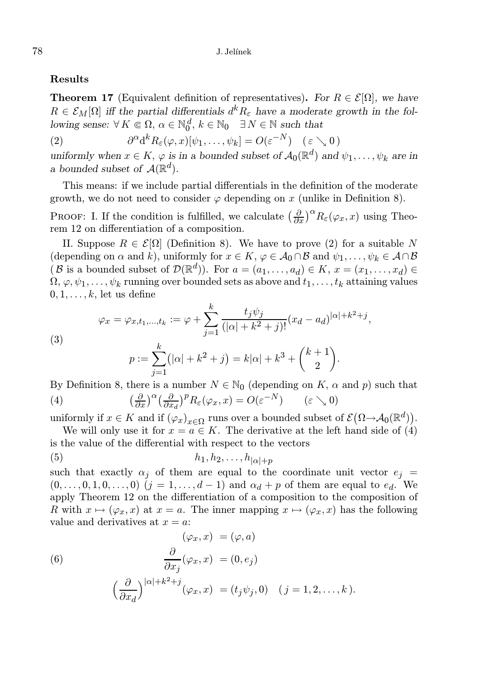## Results

**Theorem 17** (Equivalent definition of representatives). For  $R \in \mathcal{E}[\Omega]$ , we have  $R \in \mathcal{E}_M[\Omega]$  iff the partial differentials  $d^k R_{\varepsilon}$  have a moderate growth in the following sense:  $\forall K \in \Omega$ ,  $\alpha \in \mathbb{N}_0^d$ ,  $k \in \mathbb{N}_0$   $\exists N \in \mathbb{N}$  such that

(2) 
$$
\partial^{\alpha} d^{k} R_{\varepsilon}(\varphi, x) [\psi_{1}, \ldots, \psi_{k}] = O(\varepsilon^{-N}) \quad (\varepsilon \searrow 0)
$$

uniformly when  $x \in K$ ,  $\varphi$  is in a bounded subset of  $\mathcal{A}_0(\mathbb{R}^d)$  and  $\psi_1, \ldots, \psi_k$  are in a bounded subset of  $\mathcal{A}(\mathbb{R}^d)$ .

This means: if we include partial differentials in the definition of the moderate growth, we do not need to consider  $\varphi$  depending on x (unlike in Definition 8).

**PROOF:** I. If the condition is fulfilled, we calculate  $\left(\frac{\partial}{\partial x}\right)^{\alpha}R_{\varepsilon}(\varphi_x, x)$  using Theorem 12 on differentiation of a composition.

II. Suppose  $R \in \mathcal{E}[\Omega]$  (Definition 8). We have to prove (2) for a suitable N (depending on  $\alpha$  and k), uniformly for  $x \in K$ ,  $\varphi \in \mathcal{A}_0 \cap \mathcal{B}$  and  $\psi_1, \ldots, \psi_k \in \mathcal{A} \cap \mathcal{B}$ (B is a bounded subset of  $\mathcal{D}(\mathbb{R}^d)$ ). For  $a = (a_1, \ldots, a_d) \in K$ ,  $x = (x_1, \ldots, x_d) \in$  $\Omega, \varphi, \psi_1, \ldots, \psi_k$  running over bounded sets as above and  $t_1, \ldots, t_k$  attaining values  $0, 1, \ldots, k$ , let us define

(3) 
$$
\varphi_x = \varphi_{x,t_1,...,t_k} := \varphi + \sum_{j=1}^k \frac{t_j \psi_j}{(|\alpha| + k^2 + j)!} (x_d - a_d)^{|\alpha| + k^2 + j},
$$

$$
\frac{k}{|\alpha| + k^2 + j!} (x_d - a_d)^{|\alpha| + k^2 + j},
$$

$$
p := \sum_{j=1}^{k} (|\alpha| + k^2 + j) = k|\alpha| + k^3 + {k+1 \choose 2}.
$$

By Definition 8, there is a number  $N \in \mathbb{N}_0$  (depending on K,  $\alpha$  and p) such that (4)  $\frac{\partial}{\partial x}\Big)^{\alpha} \Big(\frac{\partial}{\partial x_d}\Big)^p R_{\varepsilon}(\varphi_x, x) = O(\varepsilon^{-N}) \qquad (\varepsilon \searrow 0)$ 

uniformly if  $x \in K$  and if  $(\varphi_x)_{x \in \Omega}$  runs over a bounded subset of  $\mathcal{E}(\Omega \to \mathcal{A}_0(\mathbb{R}^d))$ .

We will only use it for  $x = a \in K$ . The derivative at the left hand side of (4) is the value of the differential with respect to the vectors

(5) h1, h2, . . ., h|α|+<sup>p</sup>

such that exactly  $\alpha_i$  of them are equal to the coordinate unit vector  $e_i$  $(0,\ldots,0,1,0,\ldots,0)$   $(j=1,\ldots,d-1)$  and  $\alpha_d+p$  of them are equal to  $e_d$ . We apply Theorem 12 on the differentiation of a composition to the composition of R with  $x \mapsto (\varphi_x, x)$  at  $x = a$ . The inner mapping  $x \mapsto (\varphi_x, x)$  has the following value and derivatives at  $x = a$ :

(6)  
\n
$$
(\varphi_x, x) = (\varphi, a)
$$
\n
$$
\frac{\partial}{\partial x_j}(\varphi_x, x) = (0, e_j)
$$
\n
$$
\left(\frac{\partial}{\partial x_d}\right)^{|\alpha| + k^2 + j}(\varphi_x, x) = (t_j \psi_j, 0) \quad (j = 1, 2, \dots, k).
$$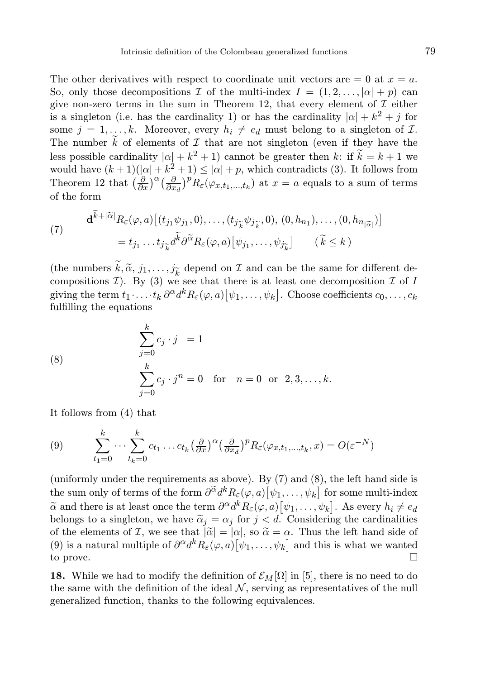The other derivatives with respect to coordinate unit vectors are  $= 0$  at  $x = a$ . So, only those decompositions I of the multi-index  $I = (1, 2, \ldots, |\alpha| + p)$  can give non-zero terms in the sum in Theorem 12, that every element of  $\mathcal I$  either is a singleton (i.e. has the cardinality 1) or has the cardinality  $|\alpha| + k^2 + j$  for some  $j = 1, ..., k$ . Moreover, every  $h_i \neq e_d$  must belong to a singleton of  $\mathcal{I}$ . The number  $\overline{k}$  of elements of  $\mathcal I$  that are not singleton (even if they have the less possible cardinality  $|\alpha| + k^2 + 1$  cannot be greater then k: if  $\widetilde{k} = k + 1$  we would have  $(k+1)(|\alpha|+k^2+1) \leq |\alpha|+p$ , which contradicts (3). It follows from Theorem 12 that  $\left(\frac{\partial}{\partial x}\right)^{\alpha} \left(\frac{\partial}{\partial x_d}\right)^p R_{\varepsilon}(\varphi_{x,t_1,\dots,t_k})$  at  $x = a$  equals to a sum of terms of the form

(7) 
$$
\mathbf{d}^{k+|\widetilde{\alpha}|} R_{\varepsilon}(\varphi, a) \left[ (t_{j_1} \psi_{j_1}, 0), \dots, (t_{j_{\widetilde{k}}} \psi_{j_{\widetilde{k}}}, 0), (0, h_{n_1}), \dots, (0, h_{n_{|\widetilde{\alpha}|}}) \right]
$$

$$
= t_{j_1} \dots t_{j_{\widetilde{k}}} d^{\widetilde{k}} \partial^{\widetilde{\alpha}} R_{\varepsilon}(\varphi, a) \left[ \psi_{j_1}, \dots, \psi_{j_{\widetilde{k}}} \right] \qquad (\widetilde{k} \le k)
$$

(the numbers  $k, \tilde{\alpha}, j_1, \ldots, j_{\tilde{k}}$  depend on  $\mathcal I$  and can be the same for different decompositions  $\mathcal{I}$ ). By (3) we see that there is at least one decomposition  $\mathcal{I}$  of I giving the term  $t_1 \cdot \ldots \cdot t_k \, \partial^\alpha d^k R_\varepsilon(\varphi, a) \big[\psi_1, \ldots, \psi_k\big].$  Choose coefficients  $c_0, \ldots, c_k$ fulfilling the equations

(8) 
$$
\sum_{j=0}^{k} c_j \cdot j = 1
$$

$$
\sum_{j=0}^{k} c_j \cdot j^n = 0 \text{ for } n = 0 \text{ or } 2, 3, ..., k.
$$

It follows from (4) that

(9) 
$$
\sum_{t_1=0}^k \cdots \sum_{t_k=0}^k c_{t_1} \ldots c_{t_k} \left(\frac{\partial}{\partial x}\right)^{\alpha} \left(\frac{\partial}{\partial x_d}\right)^{p} R_{\varepsilon}(\varphi_{x,t_1,\ldots,t_k},x) = O(\varepsilon^{-N})
$$

(uniformly under the requirements as above). By (7) and (8), the left hand side is the sum only of terms of the form  $\partial^{\widetilde{\alpha}} d^k R_\varepsilon(\varphi,a) \big[\psi_1,\ldots,\psi_k\big]$  for some multi-index  $\widetilde{\alpha}$  and there is at least once the term  $\partial^{\alpha} d^k R_{\varepsilon}(\varphi, a) [\psi_1, \dots, \psi_k]$ . As every  $h_i \neq e_d$ belongs to a singleton, we have  $\tilde{\alpha}_j = \alpha_j$  for  $j < d$ . Considering the cardinalities of the elements of I, we see that  $|\tilde{\alpha}| = |\alpha|$ , so  $\tilde{\alpha} = \alpha$ . Thus the left hand side of (9) is a natural multiple of  $\partial^{\alpha} d^k R_{\varepsilon}(\varphi, a) [\psi_1, \dots, \psi_k]$  and this is what we wanted to prove.

18. While we had to modify the definition of  $\mathcal{E}_M[\Omega]$  in [5], there is no need to do the same with the definition of the ideal  $N$ , serving as representatives of the null generalized function, thanks to the following equivalences.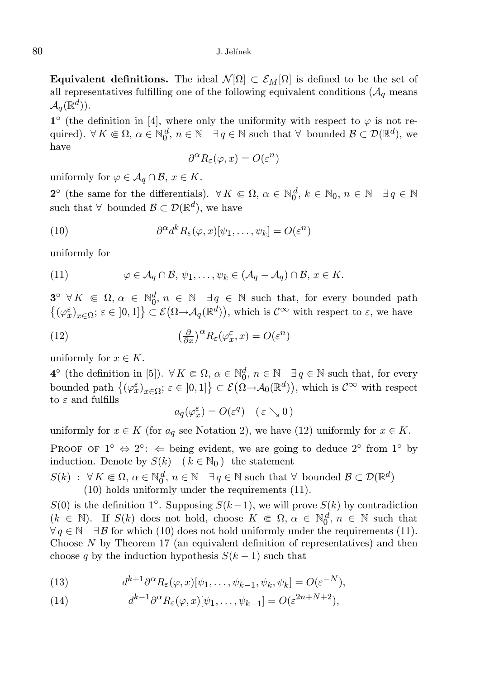#### 80 J. Jelínek

**Equivalent definitions.** The ideal  $\mathcal{N}[\Omega] \subset \mathcal{E}_M[\Omega]$  is defined to be the set of all representatives fulfilling one of the following equivalent conditions  $(\mathcal{A}_q$  means  ${\mathcal A}_q(\mathbb{R}^d)).$ 

1<sup>o</sup> (the definition in [4], where only the uniformity with respect to  $\varphi$  is not required).  $\forall K \in \Omega, \, \alpha \in \mathbb{N}_0^d, \, n \in \mathbb{N} \quad \exists q \in \mathbb{N} \text{ such that } \forall \text{ bounded } \mathcal{B} \subset \mathcal{D}(\mathbb{R}^d)$ , we have

$$
\partial^{\alpha} R_{\varepsilon}(\varphi, x) = O(\varepsilon^n)
$$

uniformly for  $\varphi \in \mathcal{A}_q \cap \mathcal{B}, x \in K$ .

2<sup>o</sup> (the same for the differentials).  $\forall K \in \Omega, \alpha \in \mathbb{N}_0^d, k \in \mathbb{N}_0, n \in \mathbb{N} \quad \exists q \in \mathbb{N}$ such that  $\forall$  bounded  $\mathcal{B} \subset \mathcal{D}(\mathbb{R}^d)$ , we have

(10) 
$$
\partial^{\alpha} d^{k} R_{\varepsilon}(\varphi, x) [\psi_{1}, \dots, \psi_{k}] = O(\varepsilon^{n})
$$

uniformly for

(11) 
$$
\varphi \in \mathcal{A}_q \cap \mathcal{B}, \psi_1, \dots, \psi_k \in (\mathcal{A}_q - \mathcal{A}_q) \cap \mathcal{B}, x \in K.
$$

 $3^{\circ}$   $\forall K \in \Omega, \alpha \in \mathbb{N}_0^d, n \in \mathbb{N} \exists q \in \mathbb{N}$  such that, for every bounded path  $\{(\varphi_x^{\varepsilon})_{x\in\Omega};\,\varepsilon\in]0,1]\}\subset\mathcal{E}(\Omega\to\mathcal{A}_q(\mathbb{R}^d)),$  which is  $\mathcal{C}^{\infty}$  with respect to  $\varepsilon$ , we have

(12) 
$$
\left(\frac{\partial}{\partial x}\right)^{\alpha} R_{\varepsilon}(\varphi_x^{\varepsilon},x) = O(\varepsilon^n)
$$

uniformly for  $x \in K$ .

4<sup>°</sup> (the definition in [5]). ∀ K ∈ Ω, α ∈  $\mathbb{N}_0^d$ ,  $n \in \mathbb{N}$   $\exists q \in \mathbb{N}$  such that, for every bounded path  $\{(\varphi_x^{\varepsilon})_{x\in\Omega};\,\varepsilon\in]0,1\} \subset \mathcal{E}(\Omega\to\mathcal{A}_0(\mathbb{R}^d)),$  which is  $\mathcal{C}^{\infty}$  with respect to  $\varepsilon$  and fulfills

$$
a_q(\varphi_x^{\varepsilon}) = O(\varepsilon^q) \quad (\varepsilon \searrow 0)
$$

uniformly for  $x \in K$  (for  $a_q$  see Notation 2), we have (12) uniformly for  $x \in K$ .

PROOF OF  $1^{\circ} \Leftrightarrow 2^{\circ}$ :  $\Leftarrow$  being evident, we are going to deduce  $2^{\circ}$  from  $1^{\circ}$  by induction. Denote by  $S(k)$   $(k \in \mathbb{N}_0)$  the statement

 $S(k) : \forall K \in \Omega, \, \alpha \in \mathbb{N}_0^d, \, n \in \mathbb{N} \quad \exists q \in \mathbb{N} \text{ such that } \forall \text{ bounded } \mathcal{B} \subset \mathcal{D}(\mathbb{R}^d)$ (10) holds uniformly under the requirements (11).

 $S(0)$  is the definition 1°. Supposing  $S(k-1)$ , we will prove  $S(k)$  by contradiction  $(k \in \mathbb{N})$ . If  $S(k)$  does not hold, choose  $K \in \Omega$ ,  $\alpha \in \mathbb{N}_0^d$ ,  $n \in \mathbb{N}$  such that  $\forall q \in \mathbb{N}$   $\exists \mathcal{B}$  for which (10) does not hold uniformly under the requirements (11). Choose N by Theorem 17 (an equivalent definition of representatives) and then choose q by the induction hypothesis  $S(k-1)$  such that

(13) 
$$
d^{k+1}\partial^{\alpha}R_{\varepsilon}(\varphi,x)[\psi_1,\ldots,\psi_{k-1},\psi_k,\psi_k] = O(\varepsilon^{-N}),
$$

(14) 
$$
d^{k-1}\partial^{\alpha}R_{\varepsilon}(\varphi,x)[\psi_1,\ldots,\psi_{k-1}] = O(\varepsilon^{2n+N+2}),
$$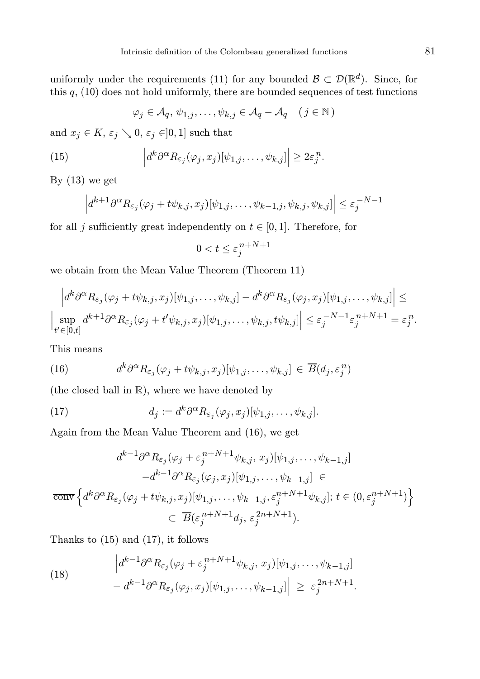uniformly under the requirements (11) for any bounded  $\mathcal{B} \subset \mathcal{D}(\mathbb{R}^d)$ . Since, for this  $q$ , (10) does not hold uniformly, there are bounded sequences of test functions

$$
\varphi_j \in \mathcal{A}_q, \psi_{1,j}, \dots, \psi_{k,j} \in \mathcal{A}_q - \mathcal{A}_q \quad (j \in \mathbb{N})
$$

and  $x_j \in K$ ,  $\varepsilon_j \setminus 0$ ,  $\varepsilon_j \in ]0,1]$  such that

(15) 
$$
\left| d^k \partial^{\alpha} R_{\varepsilon_j}(\varphi_j, x_j) [\psi_{1,j}, \dots, \psi_{k,j}] \right| \geq 2 \varepsilon_j^n.
$$

By  $(13)$  we get

$$
\left| d^{k+1} \partial^{\alpha} R_{\varepsilon_j} (\varphi_j + t \psi_{k,j}, x_j) [\psi_{1,j}, \dots, \psi_{k-1,j}, \psi_{k,j}, \psi_{k,j}] \right| \leq \varepsilon_j^{-N-1}
$$

for all j sufficiently great independently on  $t \in [0, 1]$ . Therefore, for

$$
0 < t \leq \varepsilon_j^{n + N + 1}
$$

we obtain from the Mean Value Theorem (Theorem 11)

$$
\left| d^k \partial^\alpha R_{\varepsilon_j}(\varphi_j + t\psi_{k,j}, x_j) [\psi_{1,j}, \dots, \psi_{k,j}] - d^k \partial^\alpha R_{\varepsilon_j}(\varphi_j, x_j) [\psi_{1,j}, \dots, \psi_{k,j}] \right| \leq
$$
  

$$
\left| \sup_{t' \in [0,t]} d^{k+1} \partial^\alpha R_{\varepsilon_j}(\varphi_j + t' \psi_{k,j}, x_j) [\psi_{1,j}, \dots, \psi_{k,j}, t\psi_{k,j}] \right| \leq \varepsilon_j^{-N-1} \varepsilon_j^{n+N+1} = \varepsilon_j^n.
$$

This means

(16) 
$$
d^k \partial^{\alpha} R_{\varepsilon_j} (\varphi_j + t \psi_{k,j}, x_j) [\psi_{1,j}, \dots, \psi_{k,j}] \in \overline{B}(d_j, \varepsilon_j^n)
$$

(the closed ball in R), where we have denoted by

(17) 
$$
d_j := d^k \partial^{\alpha} R_{\varepsilon_j}(\varphi_j, x_j) [\psi_{1,j}, \dots, \psi_{k,j}].
$$

Again from the Mean Value Theorem and (16), we get

$$
d^{k-1}\partial^{\alpha}R_{\varepsilon_j}(\varphi_j + \varepsilon_j^{n+N+1}\psi_{k,j}, x_j)[\psi_{1,j}, \dots, \psi_{k-1,j}]
$$
  

$$
-d^{k-1}\partial^{\alpha}R_{\varepsilon_j}(\varphi_j, x_j)[\psi_{1,j}, \dots, \psi_{k-1,j}] \in
$$
  

$$
\overline{\text{conv}}\left\{d^k\partial^{\alpha}R_{\varepsilon_j}(\varphi_j + t\psi_{k,j}, x_j)[\psi_{1,j}, \dots, \psi_{k-1,j}, \varepsilon_j^{n+N+1}\psi_{k,j}]; t \in (0, \varepsilon_j^{n+N+1})\right\}
$$
  

$$
\subset \overline{B}(\varepsilon_j^{n+N+1}d_j, \varepsilon_j^{2n+N+1}).
$$

Thanks to (15) and (17), it follows

(18) 
$$
\left| d^{k-1} \partial^{\alpha} R_{\varepsilon_j}(\varphi_j + \varepsilon_j^{n+N+1} \psi_{k,j}, x_j) [\psi_{1,j}, \dots, \psi_{k-1,j}] \right|
$$

$$
- d^{k-1} \partial^{\alpha} R_{\varepsilon_j}(\varphi_j, x_j) [\psi_{1,j}, \dots, \psi_{k-1,j}] \geq \varepsilon_j^{2n+N+1}.
$$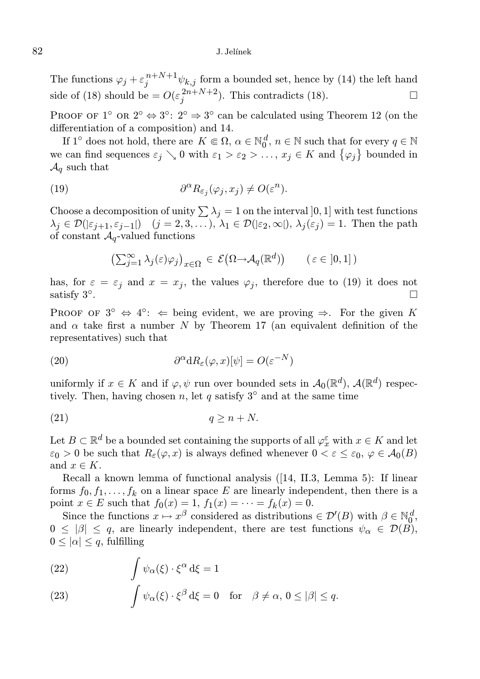#### 82 J. Jelínek

The functions  $\varphi_j + \varepsilon_j^{n+N+1} \psi_{k,j}$  form a bounded set, hence by (14) the left hand side of (18) should be  $=O(\varepsilon_j^{2n+N+2})$ . This contradicts (18).

PROOF OF 1<sup>°</sup> OR  $2^{\circ} \Leftrightarrow 3^{\circ}$ :  $2^{\circ} \Rightarrow 3^{\circ}$  can be calculated using Theorem 12 (on the differentiation of a composition) and 14.

If 1<sup>°</sup> does not hold, there are  $K \in \Omega$ ,  $\alpha \in \mathbb{N}_0^d$ ,  $n \in \mathbb{N}$  such that for every  $q \in \mathbb{N}$ we can find sequences  $\varepsilon_j \setminus 0$  with  $\varepsilon_1 > \varepsilon_2 > \ldots$ ,  $x_j \in K$  and  $\{\varphi_j\}$  bounded in  $\mathcal{A}_q$  such that

(19) 
$$
\partial^{\alpha} R_{\varepsilon_j}(\varphi_j, x_j) \neq O(\varepsilon^n).
$$

Choose a decomposition of unity  $\sum \lambda_j = 1$  on the interval  $]0, 1]$  with test functions  $\lambda_j \in \mathcal{D}(\varepsilon_{j+1}, \varepsilon_{j-1}])$   $(j = 2, 3, \dots), \lambda_1 \in \mathcal{D}(\varepsilon_2, \infty), \lambda_j(\varepsilon_j) = 1$ . Then the path of constant  $A_q$ -valued functions

$$
\left(\sum_{j=1}^{\infty} \lambda_j(\varepsilon)\varphi_j\right)_{x \in \Omega} \in \mathcal{E}\left(\Omega \to \mathcal{A}_q(\mathbb{R}^d)\right) \qquad (\varepsilon \in [0,1])
$$

has, for  $\varepsilon = \varepsilon_j$  and  $x = x_j$ , the values  $\varphi_j$ , therefore due to (19) it does not satisfy  $3^\circ$ . .

PROOF OF  $3^{\circ} \Leftrightarrow 4^{\circ}$ :  $\Leftarrow$  being evident, we are proving  $\Rightarrow$ . For the given K and  $\alpha$  take first a number N by Theorem 17 (an equivalent definition of the representatives) such that

(20) 
$$
\partial^{\alpha} dR_{\varepsilon}(\varphi, x)[\psi] = O(\varepsilon^{-N})
$$

uniformly if  $x \in K$  and if  $\varphi, \psi$  run over bounded sets in  $\mathcal{A}_0(\mathbb{R}^d)$ ,  $\mathcal{A}(\mathbb{R}^d)$  respectively. Then, having chosen n, let q satisfy  $3^\circ$  and at the same time

$$
(21) \t\t q \ge n + N.
$$

Let  $B \subset \mathbb{R}^d$  be a bounded set containing the supports of all  $\varphi_x^\varepsilon$  with  $x \in K$  and let  $\varepsilon_0 > 0$  be such that  $R_{\varepsilon}(\varphi, x)$  is always defined whenever  $0 < \varepsilon \leq \varepsilon_0$ ,  $\varphi \in \mathcal{A}_0(B)$ and  $x \in K$ .

Recall a known lemma of functional analysis ([14, II.3, Lemma 5): If linear forms  $f_0, f_1, \ldots, f_k$  on a linear space E are linearly independent, then there is a point  $x \in E$  such that  $f_0(x) = 1$ ,  $f_1(x) = \cdots = f_k(x) = 0$ .

Since the functions  $x \mapsto x^{\beta}$  considered as distributions  $\in \mathcal{D}'(B)$  with  $\beta \in \mathbb{N}_0^d$ ,  $0 \leq |\beta| \leq q$ , are linearly independent, there are test functions  $\psi_{\alpha} \in \mathcal{D}(B)$ ,  $0 \leq |\alpha| \leq q$ , fulfilling

(22) 
$$
\int \psi_{\alpha}(\xi) \cdot \xi^{\alpha} d\xi = 1
$$

(23) 
$$
\int \psi_{\alpha}(\xi) \cdot \xi^{\beta} d\xi = 0 \text{ for } \beta \neq \alpha, 0 \leq |\beta| \leq q.
$$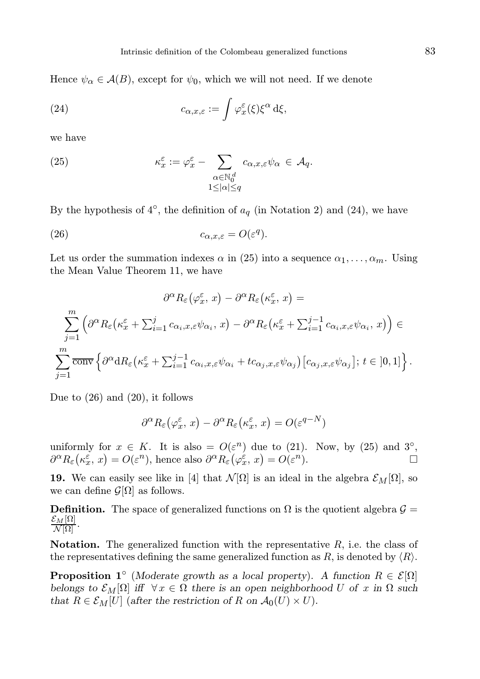Hence  $\psi_{\alpha} \in \mathcal{A}(B)$ , except for  $\psi_0$ , which we will not need. If we denote

(24) 
$$
c_{\alpha,x,\varepsilon} := \int \varphi_x^{\varepsilon}(\xi) \xi^{\alpha} d\xi,
$$

we have

(25) 
$$
\kappa_x^{\varepsilon} := \varphi_x^{\varepsilon} - \sum_{\substack{\alpha \in \mathbb{N}_0^d \\ 1 \leq |\alpha| \leq q}} c_{\alpha, x, \varepsilon} \psi_\alpha \in \mathcal{A}_q.
$$

By the hypothesis of  $4^\circ$ , the definition of  $a_q$  (in Notation 2) and (24), we have

(26) 
$$
c_{\alpha,x,\varepsilon} = O(\varepsilon^q).
$$

Let us order the summation indexes  $\alpha$  in (25) into a sequence  $\alpha_1, \ldots, \alpha_m$ . Using the Mean Value Theorem 11, we have

$$
\partial^{\alpha} R_{\varepsilon} (\varphi_x^{\varepsilon}, x) - \partial^{\alpha} R_{\varepsilon} (\kappa_x^{\varepsilon}, x) =
$$
  

$$
\sum_{j=1}^{m} \left( \partial^{\alpha} R_{\varepsilon} (\kappa_x^{\varepsilon} + \sum_{i=1}^{j} c_{\alpha_i, x, \varepsilon} \psi_{\alpha_i}, x) - \partial^{\alpha} R_{\varepsilon} (\kappa_x^{\varepsilon} + \sum_{i=1}^{j-1} c_{\alpha_i, x, \varepsilon} \psi_{\alpha_i}, x) \right) \in
$$
  

$$
\sum_{j=1}^{m} \overline{\text{conv}} \left\{ \partial^{\alpha} dR_{\varepsilon} (\kappa_x^{\varepsilon} + \sum_{i=1}^{j-1} c_{\alpha_i, x, \varepsilon} \psi_{\alpha_i} + t c_{\alpha_j, x, \varepsilon} \psi_{\alpha_j}) [c_{\alpha_j, x, \varepsilon} \psi_{\alpha_j}] ; t \in [0, 1] \right\}.
$$

Due to (26) and (20), it follows

$$
\partial^{\alpha} R_{\varepsilon} (\varphi_x^{\varepsilon}, x) - \partial^{\alpha} R_{\varepsilon} (\kappa_x^{\varepsilon}, x) = O(\varepsilon^{q-N})
$$

uniformly for  $x \in K$ . It is also =  $O(\varepsilon^n)$  due to (21). Now, by (25) and 3<sup>°</sup>,  $\partial^{\alpha}R_{\varepsilon}(\kappa_{x}^{\varepsilon},x) = O(\varepsilon^{n}),$  hence also  $\partial^{\alpha}R_{\varepsilon}(\varphi_{x}^{\varepsilon},x) = O(\varepsilon^{n}).$ 

**19.** We can easily see like in [4] that  $\mathcal{N}[\Omega]$  is an ideal in the algebra  $\mathcal{E}_M[\Omega]$ , so we can define  $\mathcal{G}[\Omega]$  as follows.

**Definition.** The space of generalized functions on  $\Omega$  is the quotient algebra  $\mathcal{G} =$  $\frac{{\cal E}_{M}[\Omega]}{{\cal N}[\Omega]}.$ 

**Notation.** The generalized function with the representative  $R$ , i.e. the class of the representatives defining the same generalized function as R, is denoted by  $\langle R \rangle$ .

**Proposition** 1<sup>°</sup> (Moderate growth as a local property). A function  $R \in \mathcal{E}[\Omega]$ belongs to  $\mathcal{E}_M[\Omega]$  iff  $\forall x \in \Omega$  there is an open neighborhood U of x in  $\Omega$  such that  $R \in \mathcal{E}_M[U]$  (after the restriction of R on  $\mathcal{A}_0(U) \times U$ ).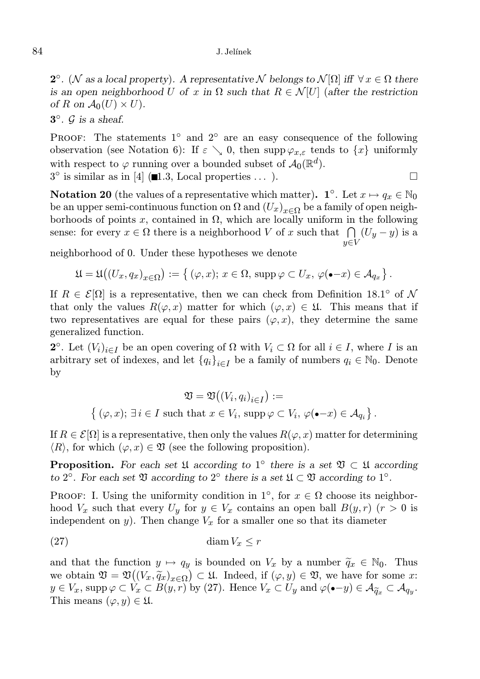#### 84 J. Jelínek

2<sup>o</sup>. (N as a local property). A representative N belongs to  $\mathcal{N}[\Omega]$  iff  $\forall x \in \Omega$  there is an open neighborhood U of x in  $\Omega$  such that  $R \in \mathcal{N}[U]$  (after the restriction of R on  $\mathcal{A}_0(U) \times U$ .

# $3^\circ$ .  $\mathcal G$  is a sheaf.

PROOF: The statements 1<sup>°</sup> and 2<sup>°</sup> are an easy consequence of the following observation (see Notation 6): If  $\varepsilon \searrow 0$ , then supp  $\varphi_{x,\varepsilon}$  tends to  $\{x\}$  uniformly with respect to  $\varphi$  running over a bounded subset of  $\mathcal{A}_0(\mathbb{R}^d)$ .  $3^{\circ}$  is similar as in [4] ( $\blacksquare$ 1.3, Local properties ...).

**Notation 20** (the values of a representative which matter). **1**°. Let  $x \mapsto q_x \in \mathbb{N}_0$ be an upper semi-continuous function on  $\Omega$  and  $(U_x)_{x\in\Omega}$  be a family of open neighborhoods of points x, contained in  $\Omega$ , which are locally uniform in the following sense: for every  $x \in \Omega$  there is a neighborhood V of x such that  $\bigcap (U_y - y)$  is a  $y \in V$ 

neighborhood of 0. Under these hypotheses we denote

$$
\mathfrak{U}=\mathfrak{U}((U_x,q_x)_{x\in\Omega}):=\left\{\,(\varphi,x);\,x\in\Omega,\,\operatorname{supp}\varphi\subset U_x,\,\varphi(\bullet-x)\in\mathcal{A}_{q_x}\right\}.
$$

If  $R \in \mathcal{E}[\Omega]$  is a representative, then we can check from Definition 18.1<sup>o</sup> of N that only the values  $R(\varphi, x)$  matter for which  $(\varphi, x) \in \mathfrak{U}$ . This means that if two representatives are equal for these pairs  $(\varphi, x)$ , they determine the same generalized function.

**2**<sup>°</sup>. Let  $(V_i)_{i \in I}$  be an open covering of  $\Omega$  with  $V_i \subset \Omega$  for all  $i \in I$ , where I is an arbitrary set of indexes, and let  ${q_i}_{i \in I}$  be a family of numbers  $q_i \in \mathbb{N}_0$ . Denote by

$$
\mathfrak{V} = \mathfrak{V}((V_i, q_i)_{i \in I}) :=
$$
  

$$
\{ (\varphi, x); \exists i \in I \text{ such that } x \in V_i, \text{ supp } \varphi \subset V_i, \varphi(\bullet - x) \in \mathcal{A}_{q_i} \}.
$$

If  $R \in \mathcal{E}[\Omega]$  is a representative, then only the values  $R(\varphi, x)$  matter for determining  $\langle R \rangle$ , for which  $(\varphi, x) \in \mathfrak{V}$  (see the following proposition).

**Proposition.** For each set  $\mathfrak{U}$  according to 1<sup>°</sup> there is a set  $\mathfrak{V} \subset \mathfrak{U}$  according to 2°. For each set  $\mathfrak V$  according to 2° there is a set  $\mathfrak U \subset \mathfrak V$  according to 1°.

PROOF: I. Using the uniformity condition in 1<sup>°</sup>, for  $x \in \Omega$  choose its neighborhood  $V_x$  such that every  $U_y$  for  $y \in V_x$  contains an open ball  $B(y, r)$  ( $r > 0$  is independent on y). Then change  $V_x$  for a smaller one so that its diameter

(27) diam Vx ≤ r

and that the function  $y \mapsto q_y$  is bounded on  $V_x$  by a number  $\tilde{q}_x \in \mathbb{N}_0$ . Thus we obtain  $\mathfrak{V} = \mathfrak{V}((V_x, \widetilde{q}_x)_{x \in \Omega}) \subset \mathfrak{U}$ . Indeed, if  $(\varphi, y) \in \mathfrak{V}$ , we have for some x:  $y \in V_x$ , supp  $\varphi \subset V_x \subset B(y, r)$  by (27). Hence  $V_x \subset U_y$  and  $\varphi(\bullet - y) \in \mathcal{A}_{\widetilde{q}_x} \subset \mathcal{A}_{q_y}$ . This means  $(\varphi, y) \in \mathfrak{U}$ .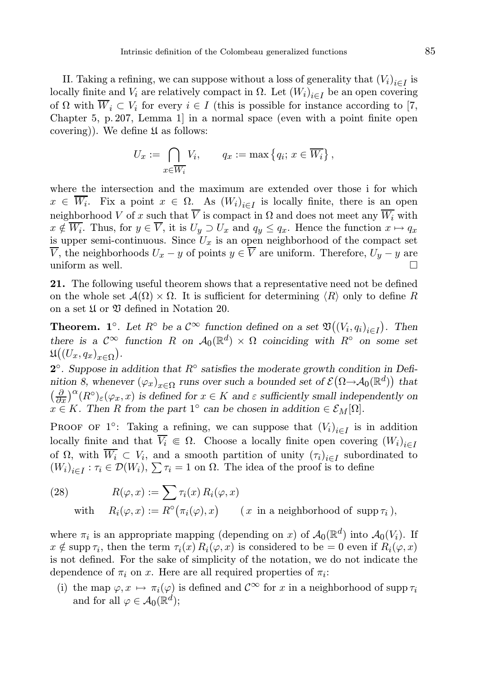II. Taking a refining, we can suppose without a loss of generality that  $(V_i)_{i \in I}$  is locally finite and  $V_i$  are relatively compact in  $\Omega$ . Let  $(W_i)_{i \in I}$  be an open covering of  $\Omega$  with  $W_i \subset V_i$  for every  $i \in I$  (this is possible for instance according to [7, Chapter 5, p. 207, Lemma 1] in a normal space (even with a point finite open covering)). We define  $\mathfrak U$  as follows:

$$
U_x := \bigcap_{x \in \overline{W_i}} V_i, \qquad q_x := \max\left\{q_i; \, x \in \overline{W_i}\right\},\,
$$

where the intersection and the maximum are extended over those i for which  $x \in W_i$ . Fix a point  $x \in \Omega$ . As  $(W_i)_{i \in I}$  is locally finite, there is an open neighborhood V of x such that  $\overline{V}$  is compact in  $\Omega$  and does not meet any  $\overline{W_i}$  with  $x \notin W_i$ . Thus, for  $y \in V$ , it is  $U_y \supset U_x$  and  $q_y \leq q_x$ . Hence the function  $x \mapsto q_x$ is upper semi-continuous. Since  $U_x$  is an open neighborhood of the compact set  $\overline{V}$ , the neighborhoods  $U_x - y$  of points  $y \in \overline{V}$  are uniform. Therefore,  $U_y - y$  are uniform as well.

21. The following useful theorem shows that a representative need not be defined on the whole set  $\mathcal{A}(\Omega) \times \Omega$ . It is sufficient for determining  $\langle R \rangle$  only to define R on a set  $\mathfrak U$  or  $\mathfrak V$  defined in Notation 20.

**Theorem. 1**°. Let  $R$ ° be a  $C^{\infty}$  function defined on a set  $\mathfrak{V}((V_i, q_i)_{i \in I})$ . Then there is a  $\mathcal{C}^{\infty}$  function R on  $\mathcal{A}_0(\mathbb{R}^d) \times \Omega$  coinciding with  $R^{\circ}$  on some set  $\mathfrak{U}((U_x,q_x)_{x\in\Omega}).$ 

 $2^{\circ}$ . Suppose in addition that  $R^{\circ}$  satisfies the moderate growth condition in Definition 8, whenever  $(\varphi_x)_{x \in \Omega}$  runs over such a bounded set of  $\mathcal{E}(\Omega \to \mathcal{A}_0(\mathbb{R}^d))$  that  $\left(\frac{\partial}{\partial x}\right)^{\alpha}(R^{\circ})_{\varepsilon}(\varphi_x, x)$  is defined for  $x \in K$  and  $\varepsilon$  sufficiently small independently on  $x \in K$ . Then R from the part 1<sup>°</sup> can be chosen in addition  $\in \mathcal{E}_M[\Omega]$ .

PROOF OF 1<sup>o</sup>: Taking a refining, we can suppose that  $(V_i)_{i \in I}$  is in addition locally finite and that  $\overline{V_i} \in \Omega$ . Choose a locally finite open covering  $(W_i)_{i\in I}$ of  $\Omega$ , with  $W_i \subset V_i$ , and a smooth partition of unity  $(\tau_i)_{i \in I}$  subordinated to  $(W_i)_{i \in I} : \tau_i \in \mathcal{D}(W_i), \sum \tau_i = 1$  on  $\Omega$ . The idea of the proof is to define

(28) 
$$
R(\varphi, x) := \sum \tau_i(x) R_i(\varphi, x)
$$
  
with 
$$
R_i(\varphi, x) := R^{\circ}(\pi_i(\varphi), x) \qquad (x \text{ in a neighborhood of } \text{supp } \tau_i),
$$

where  $\pi_i$  is an appropriate mapping (depending on x) of  $\mathcal{A}_0(\mathbb{R}^d)$  into  $\mathcal{A}_0(V_i)$ . If  $x \notin \text{supp } \tau_i$ , then the term  $\tau_i(x) R_i(\varphi, x)$  is considered to be = 0 even if  $R_i(\varphi, x)$ is not defined. For the sake of simplicity of the notation, we do not indicate the dependence of  $\pi_i$  on x. Here are all required properties of  $\pi_i$ :

(i) the map  $\varphi, x \mapsto \pi_i(\varphi)$  is defined and  $\mathcal{C}^{\infty}$  for x in a neighborhood of supp  $\tau_i$ and for all  $\varphi \in \mathcal{A}_0(\mathbb{R}^d)$ ;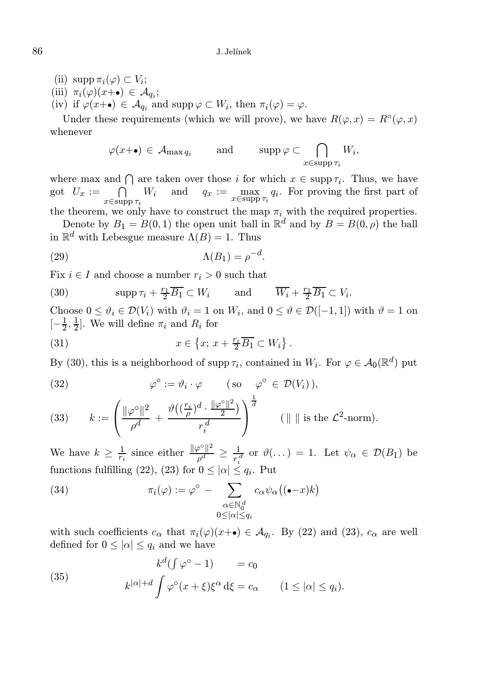- (ii)  $\text{supp } \pi_i(\varphi) \subset V_i;$
- (iii)  $\pi_i(\varphi)(x_{\cdot}) \in \mathcal{A}_{q_i};$
- (iv) if  $\varphi(x+\bullet) \in \mathcal{A}_{q_i}$  and supp  $\varphi \subset W_i$ , then  $\pi_i(\varphi) = \varphi$ .

Under these requirements (which we will prove), we have  $R(\varphi, x) = R^{\circ}(\varphi, x)$ whenever

$$
\varphi(x+\bullet) \in \mathcal{A}_{\max q_i}
$$
 and  $\text{supp}\,\varphi \subset \bigcap_{x \in \text{supp}\,\tau_i} W_i$ ,

where max and  $\bigcap$  are taken over those i for which  $x \in \text{supp } \tau_i$ . Thus, we have got  $U_x := \bigcap$  $x \in \text{supp } \tau_i$  $W_i$  and  $q_x := \max_{x \in \text{supp } \tau_i} q_i$ . For proving the first part of

the theorem, we only have to construct the map  $\pi_i$  with the required properties. Denote by  $B_1 = B(0, 1)$  the open unit ball in  $\mathbb{R}^d$  and by  $B = B(0, \rho)$  the ball in  $\mathbb{R}^d$  with Lebesgue measure  $\Lambda(B) = 1$ . Thus

$$
\Lambda(B_1) = \rho^{-d}.
$$

Fix  $i \in I$  and choose a number  $r_i > 0$  such that

(30) 
$$
\operatorname{supp} \tau_i + \frac{r_1}{2} \overline{B_1} \subset W_i
$$
 and  $\overline{W_i} + \frac{r_1}{2} \overline{B_1} \subset V_i$ .

Choose  $0 \le \vartheta_i \in \mathcal{D}(V_i)$  with  $\vartheta_i = 1$  on  $W_i$ , and  $0 \le \vartheta \in \mathcal{D}([-1,1])$  with  $\vartheta = 1$  on  $[-\frac{1}{2}, \frac{1}{2}]$ . We will define  $\pi_i$  and  $R_i$  for

(31) 
$$
x \in \left\{x; \, x + \frac{r_i}{2} \overline{B_1} \subset W_i\right\}.
$$

By (30), this is a neighborhood of supp  $\tau_i$ , contained in  $W_i$ . For  $\varphi \in \mathcal{A}_0(\mathbb{R}^d)$  put

(32) 
$$
\varphi^{\circ} := \vartheta_i \cdot \varphi \qquad (\text{so } \varphi^{\circ} \in \mathcal{D}(V_i)),
$$

(33) 
$$
k := \left(\frac{\|\varphi^{\circ}\|^2}{\rho^d} + \frac{\vartheta\left((\frac{r_i}{\rho})^d \cdot \frac{\|\varphi^{\circ}\|^2}{2}\right)}{r_i^d}\right)^{\frac{1}{d}} \qquad (\|\|\|\text{ is the } \mathcal{L}^2\text{-norm}).
$$

We have  $k \geq \frac{1}{r_i}$  since either  $\frac{\|\varphi^{\circ}\|^2}{\rho^d}$  $\frac{\partial^{\phi} \parallel^2}{\rho^d} \ge \frac{1}{r_i^d}$  or  $\vartheta(\dots) = 1$ . Let  $\psi_{\alpha} \in \mathcal{D}(B_1)$  be functions fulfilling (22), (23) for  $0 \leq |\alpha| \leq q_i$ . Put

(34) 
$$
\pi_i(\varphi) := \varphi^{\circ} - \sum_{\substack{\alpha \in \mathbb{N}_0^d \\ 0 \leq |\alpha| \leq q_i}} c_{\alpha} \psi_{\alpha}((\bullet - x)k)
$$

with such coefficients  $c_{\alpha}$  that  $\pi_i(\varphi)(x+\bullet) \in \mathcal{A}_{q_i}$ . By (22) and (23),  $c_{\alpha}$  are well defined for  $0 \leq |\alpha| \leq q_i$  and we have

(35) 
$$
k^{d}(\int \varphi^{\circ} - 1) = c_{0}
$$

$$
k^{|\alpha| + d} \int \varphi^{\circ}(x + \xi) \xi^{\alpha} d\xi = c_{\alpha} \qquad (1 \leq |\alpha| \leq q_{i}).
$$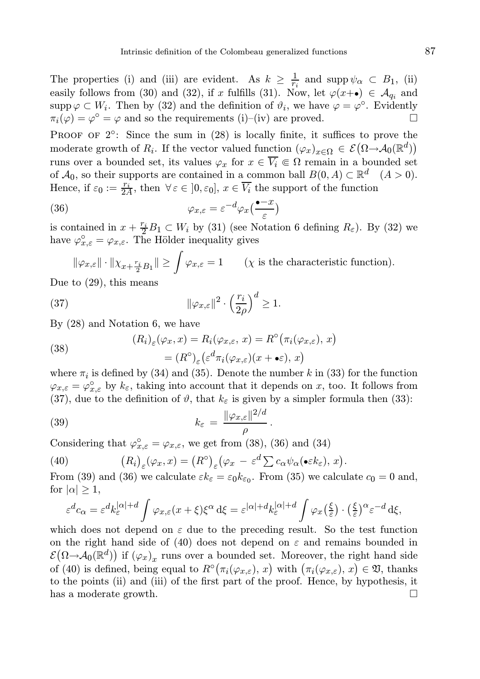PROOF OF  $2^{\circ}$ : Since the sum in  $(28)$  is locally finite, it suffices to prove the moderate growth of  $R_i$ . If the vector valued function  $(\varphi_x)_{x \in \Omega} \in \mathcal{E}(\Omega \to \mathcal{A}_0(\mathbb{R}^d))$ runs over a bounded set, its values  $\varphi_x$  for  $x \in \overline{V_i} \subseteq \Omega$  remain in a bounded set of  $\mathcal{A}_0$ , so their supports are contained in a common ball  $B(0, A) \subset \mathbb{R}^d$   $(A > 0)$ . Hence, if  $\varepsilon_0 := \frac{r_i}{2A}$ , then  $\forall \varepsilon \in [0, \varepsilon_0], x \in \overline{V_i}$  the support of the function

(36) 
$$
\varphi_{x,\varepsilon} = \varepsilon^{-d} \varphi_x \left( \frac{\bullet - x}{\varepsilon} \right)
$$

is contained in  $x + \frac{r_i}{2}B_1 \subset W_i$  by (31) (see Notation 6 defining  $R_{\varepsilon}$ ). By (32) we have  $\varphi_{x,\varepsilon}^{\circ} = \varphi_{x,\varepsilon}$ . The Hölder inequality gives

$$
\|\varphi_{x,\varepsilon}\| \cdot \|\chi_{x+\frac{r_i}{2}B_1}\| \ge \int \varphi_{x,\varepsilon} = 1 \qquad (\chi \text{ is the characteristic function}).
$$
  
the equation is means

Due to (29), this means

(37) 
$$
\|\varphi_{x,\varepsilon}\|^2 \cdot \left(\frac{r_i}{2\rho}\right)^d \ge 1.
$$

By (28) and Notation 6, we have

(38)  
\n
$$
(R_i)_{\varepsilon}(\varphi_x, x) = R_i(\varphi_{x,\varepsilon}, x) = R^{\circ}(\pi_i(\varphi_{x,\varepsilon}), x)
$$
\n
$$
= (R^{\circ})_{\varepsilon} (\varepsilon^d \pi_i(\varphi_{x,\varepsilon})(x + \bullet \varepsilon), x)
$$

where  $\pi_i$  is defined by (34) and (35). Denote the number k in (33) for the function  $\varphi_{x,\varepsilon} = \varphi_{x,\varepsilon}^{\circ}$  by  $k_{\varepsilon}$ , taking into account that it depends on x, too. It follows from (37), due to the definition of  $\vartheta$ , that  $k_{\varepsilon}$  is given by a simpler formula then (33):

(39) 
$$
k_{\varepsilon} = \frac{\|\varphi_{x,\varepsilon}\|^{2/d}}{\rho}.
$$

Considering that  $\varphi_{x,\varepsilon}^{\circ} = \varphi_{x,\varepsilon}$ , we get from (38), (36) and (34)

(40) 
$$
(R_i)_{\varepsilon}(\varphi_x, x) = (R^{\circ})_{\varepsilon}(\varphi_x - \varepsilon^d \sum c_{\alpha} \psi_{\alpha}(\bullet \varepsilon k_{\varepsilon}), x).
$$

From (39) and (36) we calculate  $\varepsilon k_{\varepsilon} = \varepsilon_0 k_{\varepsilon_0}$ . From (35) we calculate  $c_0 = 0$  and, for  $|\alpha| \geq 1$ ,

$$
\varepsilon^{d}c_{\alpha} = \varepsilon^{d}k_{\varepsilon}^{|\alpha|+d} \int \varphi_{x,\varepsilon}(x+\xi)\xi^{\alpha} d\xi = \varepsilon^{|\alpha|+d}k_{\varepsilon}^{|\alpha|+d} \int \varphi_{x}(\frac{\xi}{\varepsilon}) \cdot (\frac{\xi}{\varepsilon})^{\alpha} \varepsilon^{-d} d\xi,
$$

which does not depend on  $\varepsilon$  due to the preceding result. So the test function on the right hand side of (40) does not depend on  $\varepsilon$  and remains bounded in  $\mathcal{E}(\Omega \rightarrow \mathcal{A}_0(\mathbb{R}^d))$  if  $(\varphi_x)_x$  runs over a bounded set. Moreover, the right hand side of (40) is defined, being equal to  $R^{\circ}(\pi_i(\varphi_{x,\varepsilon}), x)$  with  $(\pi_i(\varphi_{x,\varepsilon}), x) \in \mathfrak{V}$ , thanks to the points (ii) and (iii) of the first part of the proof. Hence, by hypothesis, it has a moderate growth.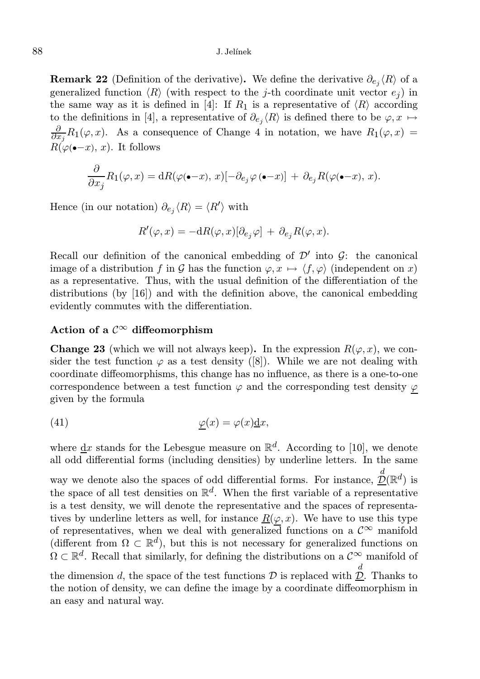**Remark 22** (Definition of the derivative). We define the derivative  $\partial_{e_j} \langle R \rangle$  of a generalized function  $\langle R \rangle$  (with respect to the j-th coordinate unit vector  $e_i$ ) in the same way as it is defined in [4]: If  $R_1$  is a representative of  $\langle R \rangle$  according to the definitions in [4], a representative of  $\partial_{e_j} \langle R \rangle$  is defined there to be  $\varphi, x \mapsto$  $\frac{\partial}{\partial x_j}R_1(\varphi, x)$ . As a consequence of Change 4 in notation, we have  $R_1(\varphi, x) =$  $R(\varphi(-x), x)$ . It follows

$$
\frac{\partial}{\partial x_j} R_1(\varphi, x) = dR(\varphi(\bullet - x), x) [-\partial_{e_j} \varphi(\bullet - x)] + \partial_{e_j} R(\varphi(\bullet - x), x).
$$

Hence (in our notation)  $\partial_{e_j} \langle R \rangle = \langle R' \rangle$  with

$$
R'(\varphi, x) = -\mathrm{d}R(\varphi, x)[\partial_{e_j}\varphi] + \partial_{e_j}R(\varphi, x).
$$

Recall our definition of the canonical embedding of  $\mathcal{D}'$  into  $\mathcal{G}$ : the canonical image of a distribution f in G has the function  $\varphi, x \mapsto \langle f, \varphi \rangle$  (independent on x) as a representative. Thus, with the usual definition of the differentiation of the distributions (by [16]) and with the definition above, the canonical embedding evidently commutes with the differentiation.

## Action of a  $\mathcal{C}^{\infty}$  diffeomorphism

**Change 23** (which we will not always keep). In the expression  $R(\varphi, x)$ , we consider the test function  $\varphi$  as a test density ([8]). While we are not dealing with coordinate diffeomorphisms, this change has no influence, as there is a one-to-one correspondence between a test function  $\varphi$  and the corresponding test density  $\varphi$ given by the formula

(41) 
$$
\underline{\varphi}(x) = \varphi(x)\underline{\mathrm{d}}x,
$$

where  $\underline{\mathrm{d}}x$  stands for the Lebesgue measure on  $\mathbb{R}^d$ . According to [10], we denote all odd differential forms (including densities) by underline letters. In the same way we denote also the spaces of odd differential forms. For instance,  $\mathcal{D}(\mathbb{R}^d)$  is the space of all test densities on  $\mathbb{R}^d$ . When the first variable of a representative is a test density, we will denote the representative and the spaces of representatives by underline letters as well, for instance  $R(\varphi, x)$ . We have to use this type of representatives, when we deal with generalized functions on a  $\mathcal{C}^{\infty}$  manifold (different from  $\Omega \subset \mathbb{R}^d$ ), but this is not necessary for generalized functions on  $\Omega \subset \mathbb{R}^d$ . Recall that similarly, for defining the distributions on a  $\mathcal{C}^{\infty}$  manifold of the dimension d, the space of the test functions  $D$  is replaced with  $\underline{\mathcal{D}}$ . Thanks to

the notion of density, we can define the image by a coordinate diffeomorphism in an easy and natural way.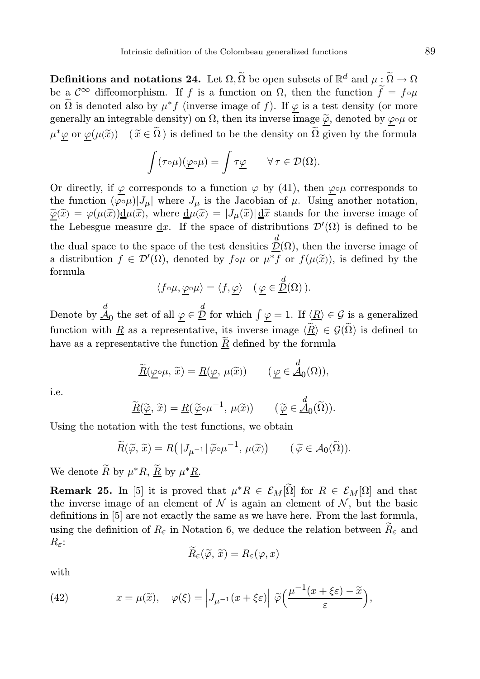**Definitions and notations 24.** Let  $\Omega$ ,  $\widetilde{\Omega}$  be open subsets of  $\mathbb{R}^d$  and  $\mu \leq \widetilde{\Omega} \to \Omega$ be a  $\mathcal{C}^{\infty}$  diffeomorphism. If f is a function on  $\Omega$ , then the function  $\widetilde{f} = f \circ \mu$ on  $\tilde{\Omega}$  is denoted also by  $\mu^* f$  (inverse image of  $f$ ). If  $\underline{\varphi}$  is a test density (or more generally an integrable density) on  $\Omega$ , then its inverse image  $\tilde{\varphi}$ , denoted by  $\varphi \circ \mu$  or  $\mu^* \underline{\varphi}$  or  $\underline{\varphi}(\mu(\widetilde{x}))$   $(\widetilde{x} \in \widetilde{\Omega})$  is defined to be the density on  $\widetilde{\Omega}$  given by the formula

$$
\int (\tau \circ \mu)(\underline{\varphi} \circ \mu) = \int \tau \underline{\varphi} \qquad \forall \, \tau \in \mathcal{D}(\Omega).
$$

Or directly, if  $\varphi$  corresponds to a function  $\varphi$  by (41), then  $\varphi \circ \mu$  corresponds to the function  $(\varphi \circ \mu)|J_\mu|$  where  $J_\mu$  is the Jacobian of  $\mu$ . Using another notation,  $\widetilde{\varphi}(\widetilde{x}) = \varphi(\mu(\widetilde{x})) \underline{d}\mu(\widetilde{x})$ , where  $\underline{d}\mu(\widetilde{x}) = |J_{\mu}(\widetilde{x})| \underline{d}\widetilde{x}$  stands for the inverse image of the Lebesgue measure  $\underline{\mathrm{d}}x$ . If the space of distributions  $\mathcal{D}'(\Omega)$  is defined to be the dual space to the space of the test densities  $\mathcal{D}(\Omega)$ , then the inverse image of a distribution  $f \in \mathcal{D}'(\Omega)$ , denoted by  $f \circ \mu$  or  $\mu^* f$  or  $f(\mu(\tilde{x}))$ , is defined by the formula

$$
\langle f \circ \mu, \underline{\varphi} \circ \mu \rangle = \langle f, \underline{\varphi} \rangle \quad (\underline{\varphi} \in \underline{\mathcal{D}}(\Omega)).
$$

Denote by  $\stackrel{d}{\mathcal{A}}_0$  the set of all  $\underline{\varphi} \in \stackrel{d}{\mathcal{D}}$  for which  $\int \underline{\varphi} = 1$ . If  $\langle \underline{R} \rangle \in \mathcal{G}$  is a generalized function with <u>R</u> as a representative, its inverse image  $\langle \widetilde{R} \rangle \in \mathcal{G}(\widetilde{\Omega})$  is defined to have as a representative the function  $\underline{R}$  defined by the formula

$$
\underline{\widetilde{R}}(\underline{\varphi}\circ\mu,\,\widetilde{x})=\underline{R}(\underline{\varphi},\,\mu(\widetilde{x}))\qquad(\underline{\varphi}\in\underline{\mathcal{A}}_0(\Omega)),
$$

i.e.

$$
\underline{\widetilde{R}}(\underline{\widetilde{\varphi}},\widetilde{x}) = \underline{R}(\underline{\widetilde{\varphi}} \circ \mu^{-1}, \mu(\widetilde{x})) \qquad (\underline{\widetilde{\varphi}} \in \underline{\widetilde{A}}_0(\widetilde{\Omega})).
$$

Using the notation with the test functions, we obtain

$$
\widetilde{R}(\widetilde{\varphi},\widetilde{x}) = R(|J_{\mu^{-1}}|\widetilde{\varphi}\circ\mu^{-1},\mu(\widetilde{x})) \qquad (\widetilde{\varphi} \in \mathcal{A}_0(\widetilde{\Omega})).
$$

We denote  $\widetilde{R}$  by  $\mu^*R$ ,  $\underline{\widetilde{R}}$  by  $\mu^*\underline{R}$ .

**Remark 25.** In [5] it is proved that  $\mu^*R \in \mathcal{E}_M[\tilde{\Omega}]$  for  $R \in \mathcal{E}_M[\Omega]$  and that the inverse image of an element of  $\mathcal N$  is again an element of  $\mathcal N$ , but the basic definitions in [5] are not exactly the same as we have here. From the last formula, using the definition of  $R_{\varepsilon}$  in Notation 6, we deduce the relation between  $\widetilde{R}_{\varepsilon}$  and  $R_{\varepsilon}$ :

$$
R_{\varepsilon}(\widetilde{\varphi},\widetilde{x})=R_{\varepsilon}(\varphi,x)
$$

with

(42) 
$$
x = \mu(\widetilde{x}), \quad \varphi(\xi) = \left| J_{\mu^{-1}}(x + \xi \varepsilon) \right| \widetilde{\varphi} \left( \frac{\mu^{-1}(x + \xi \varepsilon) - \widetilde{x}}{\varepsilon} \right),
$$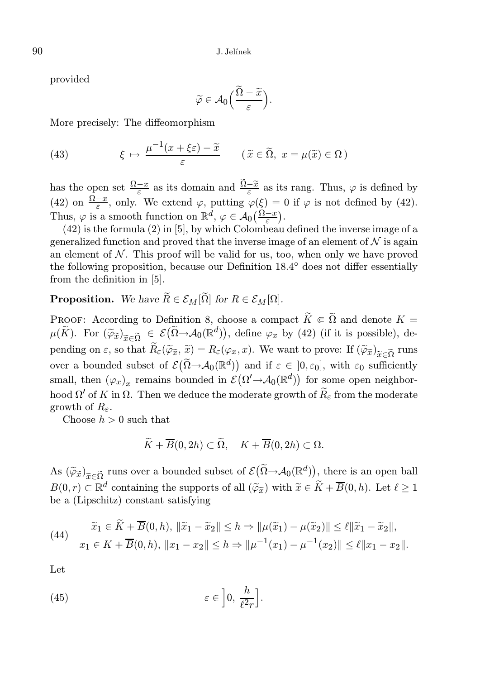provided

$$
\widetilde{\varphi} \in \mathcal{A}_0\left(\frac{\widetilde{\Omega} - \widetilde{x}}{\varepsilon}\right).
$$

More precisely: The diffeomorphism

(43) 
$$
\xi \mapsto \frac{\mu^{-1}(x + \xi \varepsilon) - \tilde{x}}{\varepsilon} \qquad (\tilde{x} \in \tilde{\Omega}, \ x = \mu(\tilde{x}) \in \Omega)
$$

has the open set  $\frac{\Omega - x}{\varepsilon}$  as its domain and  $\frac{\Omega - \tilde{x}}{\varepsilon}$  as its rang. Thus,  $\varphi$  is defined by (42) on  $\frac{\Omega - x}{\varepsilon}$ , only. We extend  $\varphi$ , putting  $\varphi(\xi) = 0$  if  $\varphi$  is not defined by (42). Thus,  $\varphi$  is a smooth function on  $\mathbb{R}^d$ ,  $\varphi \in \mathcal{A}_0(\frac{\Omega - x}{\varepsilon})$ .

(42) is the formula (2) in [5], by which Colombeau defined the inverse image of a generalized function and proved that the inverse image of an element of  $\mathcal N$  is again an element of  $N$ . This proof will be valid for us, too, when only we have proved the following proposition, because our Definition 18.4° does not differ essentially from the definition in [5].

# **Proposition.** We have  $\widetilde{R} \in \mathcal{E}_M[\widetilde{\Omega}]$  for  $R \in \mathcal{E}_M[\Omega]$ .

PROOF: According to Definition 8, choose a compact  $\widetilde{K} \Subset \widetilde{\Omega}$  and denote  $K =$  $\mu(\widetilde{K})$ . For  $(\widetilde{\varphi}_{\widetilde{x}})_{\widetilde{x}\in\widetilde{\Omega}} \in \mathcal{E}(\widetilde{\Omega}\rightarrow\mathcal{A}_0(\mathbb{R}^d)),$  define  $\varphi_x$  by (42) (if it is possible), depending on  $\varepsilon$ , so that  $R_{\varepsilon}(\widetilde{\varphi}_{\widetilde{x}}, \widetilde{x}) = R_{\varepsilon}(\varphi_x, x)$ . We want to prove: If  $(\widetilde{\varphi}_{\widetilde{x}})_{\widetilde{x} \in \widetilde{\Omega}}$  runs over a bounded subset of  $\mathcal{E}(\widetilde{\Omega} \to \mathcal{A}_0(\mathbb{R}^d))$  and if  $\varepsilon \in ]0, \varepsilon_0]$ , with  $\varepsilon_0$  sufficiently small, then  $(\varphi_x)_x$  remains bounded in  $\mathcal{E}(\Omega' \to \mathcal{A}_0(\mathbb{R}^d))$  for some open neighborhood  $\Omega'$  of K in  $\Omega$ . Then we deduce the moderate growth of  $\widetilde{R}_{\varepsilon}$  from the moderate growth of  $R_{\varepsilon}$ .

Choose  $h > 0$  such that

$$
\overline{K}+\overline{B}(0,2h)\subset\Omega,\quad K+\overline{B}(0,2h)\subset\Omega.
$$

As  $(\widetilde{\varphi}_{\widetilde{x}})_{\widetilde{x} \in \widetilde{\Omega}}$  runs over a bounded subset of  $\mathcal{E}(\widetilde{\Omega} \to \mathcal{A}_0(\mathbb{R}^d))$ , there is an open ball  $B(0, r) \subset \mathbb{R}^d$  containing the supports of all  $(\widetilde{\varphi}_{\widetilde{x}})$  with  $\widetilde{x} \in \widetilde{K} + \overline{B}(0, h)$ . Let  $\ell \geq 1$ be a (Lipschitz) constant satisfying

(44) 
$$
\tilde{x}_1 \in \tilde{K} + \overline{B}(0, h), \|\tilde{x}_1 - \tilde{x}_2\| \le h \Rightarrow \|\mu(\tilde{x}_1) - \mu(\tilde{x}_2)\| \le \ell \|\tilde{x}_1 - \tilde{x}_2\|,
$$
  

$$
x_1 \in K + \overline{B}(0, h), \ \|x_1 - x_2\| \le h \Rightarrow \|\mu^{-1}(x_1) - \mu^{-1}(x_2)\| \le \ell \|x_1 - x_2\|.
$$

Let

(45) 
$$
\varepsilon \in \left]0, \frac{h}{\ell^2 r}\right].
$$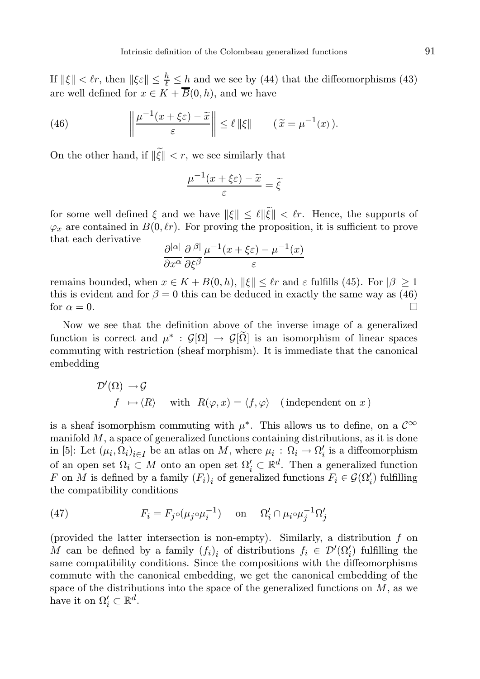If  $\|\xi\| < \ell r$ , then  $\|\xi \varepsilon\| \leq \frac{h}{\ell} \leq \frac{h}{n}$  and we see by (44) that the diffeomorphisms (43) are well defined for  $x \in K + \overline{B}(0, h)$ , and we have

(46) 
$$
\left\|\frac{\mu^{-1}(x+\xi\varepsilon)-\widetilde{x}}{\varepsilon}\right\| \leq \ell \|\xi\| \qquad (\widetilde{x}=\mu^{-1}(x)).
$$

On the other hand, if  $\|\widetilde{\xi}\| < r$ , we see similarly that

$$
\frac{\mu^{-1}(x+\xi\varepsilon)-\widetilde{x}}{\varepsilon}=\widetilde{\xi}
$$

for some well defined  $\xi$  and we have  $\|\xi\| \leq \ell \|\widetilde{\xi}\| < \ell r$ . Hence, the supports of  $\varphi_x$  are contained in  $B(0, \ell r)$ . For proving the proposition, it is sufficient to prove that each derivative

$$
\frac{\partial^{|\alpha|}}{\partial x^{\alpha}} \frac{\partial^{|\beta|}}{\partial \xi^{\beta}} \frac{\mu^{-1}(x + \xi \varepsilon) - \mu^{-1}(x)}{\varepsilon}
$$

remains bounded, when  $x \in K + B(0, h)$ ,  $\|\xi\| \leq \ell r$  and  $\varepsilon$  fulfills (45). For  $|\beta| \geq 1$ this is evident and for  $\beta = 0$  this can be deduced in exactly the same way as (46) for  $\alpha = 0$ .

Now we see that the definition above of the inverse image of a generalized function is correct and  $\mu^*$ :  $\mathcal{G}[\Omega] \to \mathcal{G}[\tilde{\Omega}]$  is an isomorphism of linear spaces commuting with restriction (sheaf morphism). It is immediate that the canonical embedding

$$
\begin{aligned}\n\mathcal{D}'(\Omega) \to & \mathcal{G} \\
f \mapsto \langle R \rangle \quad \text{ with } \ R(\varphi, x) = \langle f, \varphi \rangle \quad \text{(independent on } x)\n\end{aligned}
$$

is a sheaf isomorphism commuting with  $\mu^*$ . This allows us to define, on a  $\mathcal{C}^{\infty}$ manifold  $M$ , a space of generalized functions containing distributions, as it is done in [5]: Let  $(\mu_i, \Omega_i)_{i \in I}$  be an atlas on M, where  $\mu_i : \Omega_i \to \Omega'_i$  is a diffeomorphism of an open set  $\Omega_i \subset M$  onto an open set  $\Omega'_i \subset \mathbb{R}^d$ . Then a generalized function F on M is defined by a family  $(F_i)_i$  of generalized functions  $F_i \in \mathcal{G}(\Omega'_i)$  fulfilling the compatibility conditions

(47) 
$$
F_i = F_j \circ (\mu_j \circ \mu_i^{-1}) \quad \text{on} \quad \Omega'_i \cap \mu_i \circ \mu_j^{-1} \Omega'_j
$$

(provided the latter intersection is non-empty). Similarly, a distribution f on M can be defined by a family  $(f_i)_i$  of distributions  $f_i \in \mathcal{D}'(\Omega'_i)$  fulfilling the same compatibility conditions. Since the compositions with the diffeomorphisms commute with the canonical embedding, we get the canonical embedding of the space of the distributions into the space of the generalized functions on  $M$ , as we have it on  $\Omega'_i \subset \mathbb{R}^d$ .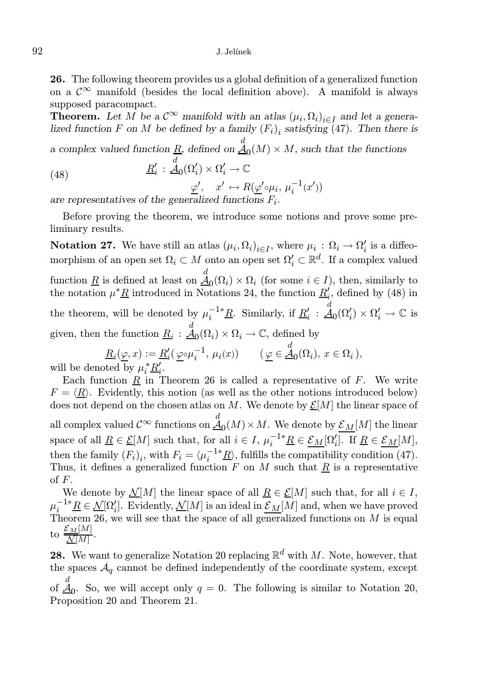#### 92 J. Jelínek

26. The following theorem provides us a global definition of a generalized function on a  $\mathcal{C}^{\infty}$  manifold (besides the local definition above). A manifold is always supposed paracompact.

**Theorem.** Let M be a  $\mathcal{C}^{\infty}$  manifold with an atlas  $(\mu_i, \Omega_i)_{i \in I}$  and let a generalized function F on M be defined by a family  $(F_i)_i$  satisfying (47). Then there is

a complex valued function  $\underline{R}$ , defined on  $\underline{A}_0(M) \times M$ , such that the functions

(48) 
$$
\underline{R}'_i : \underline{A}_0(\Omega'_i) \times \Omega'_i \to \mathbb{C}
$$

$$
\underline{\varphi}', \quad x' \mapsto R(\underline{\varphi}' \circ \mu_i, \mu_i^{-1}(x'))
$$

are representatives of the generalized functions  $F_i$ .

Before proving the theorem, we introduce some notions and prove some preliminary results.

**Notation 27.** We have still an atlas  $(\mu_i, \Omega_i)_{i \in I}$ , where  $\mu_i : \Omega_i \to \Omega'_i$  is a diffeomorphism of an open set  $\Omega_i \subset M$  onto an open set  $\Omega_i' \subset \mathbb{R}^d$ . If a complex valued function  $\underline{R}$  is defined at least on  $\underline{A}_0(\Omega_i) \times \Omega_i$  (for some  $i \in I$ ), then, similarly to the notation  $\mu^* \underline{R}$  introduced in Notations 24, the function  $\underline{R}'_i$ , defined by (48) in the theorem, will be denoted by  $\mu_i^{-1*}\underline{R}$ . Similarly, if  $\underline{R}'_i$  :  $\stackrel{d}{\mathcal{A}}_0(\Omega'_i) \times \Omega'_i \to \mathbb{C}$  is given, then the function  $\underline{R}_i$ :  $\overset{d}{\underline{A}}_0(\Omega_i) \times \Omega_i \to \mathbb{C}$ , defined by

$$
\underline{R}_i(\underline{\varphi}, x) := \underline{R}'_i(\underline{\varphi} \circ \mu_i^{-1}, \mu_i(x)) \qquad (\underline{\varphi} \in \underline{\mathcal{A}}_0(\Omega_i), x \in \Omega_i),
$$
oted by  $\mu^* R'$ .

will be denoted by  $\mu_i^* \underline{R}'_i$ .

Each function  $\underline{R}$  in Theorem 26 is called a representative of  $F$ . We write  $F = \langle \underline{R} \rangle$ . Evidently, this notion (as well as the other notions introduced below) does not depend on the chosen atlas on M. We denote by  $\mathcal{E}[M]$  the linear space of all complex valued  $\mathcal{C}^{\infty}$  functions on  $\underline{\mathcal{A}}_0(M)\times M$ . We denote by  $\underline{\mathcal{E}}_M[M]$  the linear space of all  $\underline{R} \in \underline{\mathcal{E}}[M]$  such that, for all  $i \in I$ ,  $\mu_i^{-1*}\underline{R} \in \underline{\mathcal{E}}_M[\Omega'_i]$ . If  $\underline{R} \in \underline{\mathcal{E}}_M[M]$ , then the family  $(F_i)_i$ , with  $F_i = \langle \mu_i^{-1*} \underline{R} \rangle$ , fulfills the compatibility condition (47). Thus, it defines a generalized function F on M such that  $\underline{R}$  is a representative of F.

We denote by  $\mathcal{N}[M]$  the linear space of all  $R \in \mathcal{E}[M]$  such that, for all  $i \in I$ ,  $\mu_i^{-1*} \underline{R} \in \underline{\mathcal{N}}[\Omega_i']$ . Evidently,  $\underline{\mathcal{N}}[M]$  is an ideal in  $\underline{\mathcal{E}_M}[M]$  and, when we have proved Theorem 26, we will see that the space of all generalized functions on M is equal to  $\frac{\mathcal{E}_M[M]}{M[M]}$  $\frac{N[N]}{N[M]}$ .

**28.** We want to generalize Notation 20 replacing  $\mathbb{R}^d$  with M. Note, however, that the spaces  $A_q$  cannot be defined independently of the coordinate system, except of  $\stackrel{d}{\mathcal{A}}_0$ . So, we will accept only  $q=0$ . The following is similar to Notation 20, Proposition 20 and Theorem 21.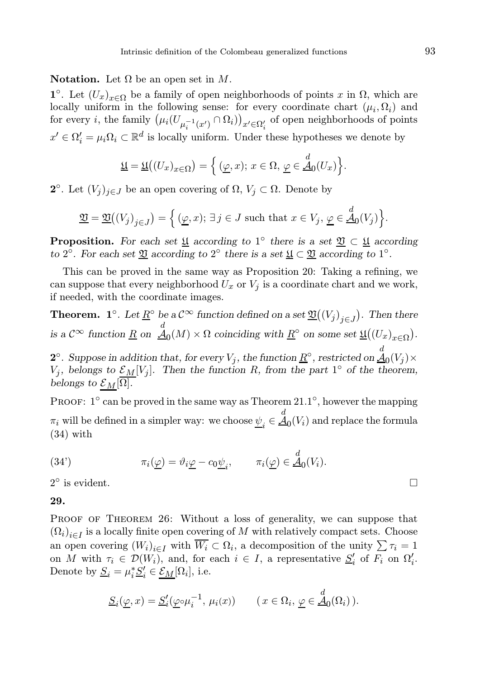Notation. Let  $Ω$  be an open set in  $M$ .

1<sup>°</sup>. Let  $(U_x)_{x \in \Omega}$  be a family of open neighborhoods of points x in  $\Omega$ , which are locally uniform in the following sense: for every coordinate chart  $(\mu_i, \Omega_i)$  and for every *i*, the family  $(\mu_i(U_{\mu_i^{-1}(x')}\cap\Omega_i))_{x'\in\Omega'_i}$  of open neighborhoods of points  $x' \in \Omega'_i = \mu_i \Omega_i \subset \mathbb{R}^d$  is locally uniform. Under these hypotheses we denote by

$$
\underline{\mathfrak{U}} = \underline{\mathfrak{U}}((U_x)_{x \in \Omega}) = \left\{ (\underline{\varphi}, x); \, x \in \Omega, \, \underline{\varphi} \in \underline{\mathcal{A}}_0(U_x) \right\}.
$$

**2**°. Let  $(V_j)_{j \in J}$  be an open covering of  $\Omega, V_j \subset \Omega$ . Denote by

$$
\underline{\mathfrak{V}} = \underline{\mathfrak{V}}((V_j)_{j \in J}) = \Big\{ (\underline{\varphi}, x); \, \exists \, j \in J \text{ such that } x \in V_j, \, \underline{\varphi} \in \underline{\mathcal{A}}_0(V_j) \Big\}.
$$

**Proposition.** For each set <u>U</u> according to 1<sup>°</sup> there is a set  $\mathfrak{V} \subset \mathfrak{U}$  according to 2<sup>o</sup>. For each set  $\underline{\mathfrak{V}}$  according to 2<sup>o</sup> there is a set  $\underline{\mathfrak{V}} \subset \underline{\mathfrak{V}}$  according to 1<sup>o</sup>.

This can be proved in the same way as Proposition 20: Taking a refining, we can suppose that every neighborhood  $U_x$  or  $V_j$  is a coordinate chart and we work, if needed, with the coordinate images.

**Theorem. 1**°. Let  $\underline{R}$ ° be a  $C^{\infty}$  function defined on a set  $\underline{\mathfrak{V}}((V_j)_{j\in J})$ . Then there is a  $\mathcal{C}^{\infty}$  function  $\underline{R}$  on  $\underline{\mathcal{A}}_0(M) \times \Omega$  coinciding with  $\underline{R}^{\circ}$  on some set  $\underline{\mathfrak{U}}((U_x)_{x \in \Omega})$ .

 ${\bf 2}^\circ$ . Suppose in addition that, for every  $V_j,$  the function  $\underline{R}^\circ$ , restricted on  $\underline{\mathcal{A}}_0(V_j)\times$  $V_j$ , belongs to  $\underline{\mathcal{E}_M}[V_j]$ . Then the function R, from the part 1<sup>°</sup> of the theorem, belongs to  $\mathcal{E}_M[\overline{\Omega}]$ .

PROOF: 1<sup>°</sup> can be proved in the same way as Theorem 21.1<sup>°</sup>, however the mapping  $\pi_i$  will be defined in a simpler way: we choose  $\underline{\psi}_i \in \underline{\mathcal{A}}_0(V_i)$  and replace the formula (34) with

(34') 
$$
\pi_i(\underline{\varphi}) = \vartheta_i \underline{\varphi} - c_0 \underline{\psi}_i, \qquad \pi_i(\underline{\varphi}) \in \underline{\mathcal{A}}_0(V_i).
$$

 $2^{\circ}$ is evident.  $\Box$ 

## 29.

PROOF OF THEOREM 26: Without a loss of generality, we can suppose that  $(\Omega_i)_{i \in I}$  is a locally finite open covering of M with relatively compact sets. Choose an open covering  $(W_i)_{i \in I}$  with  $\overline{W_i} \subset \Omega_i$ , a decomposition of the unity  $\sum \tau_i = 1$ on M with  $\tau_i \in \mathcal{D}(W_i)$ , and, for each  $i \in I$ , a representative  $\underline{S}'_i$  of  $F_i$  on  $\Omega'_i$ . Denote by  $\underline{S}_i = \mu_i^* \underline{S}'_i \in \underline{\mathcal{E}_M}[\Omega_i]$ , i.e.

$$
\underline{S}_i(\underline{\varphi},x) = \underline{S}'_i(\underline{\varphi} \circ \mu_i^{-1}, \mu_i(x)) \qquad (x \in \Omega_i, \underline{\varphi} \in \underline{A}_0(\Omega_i)).
$$

$$
\Box
$$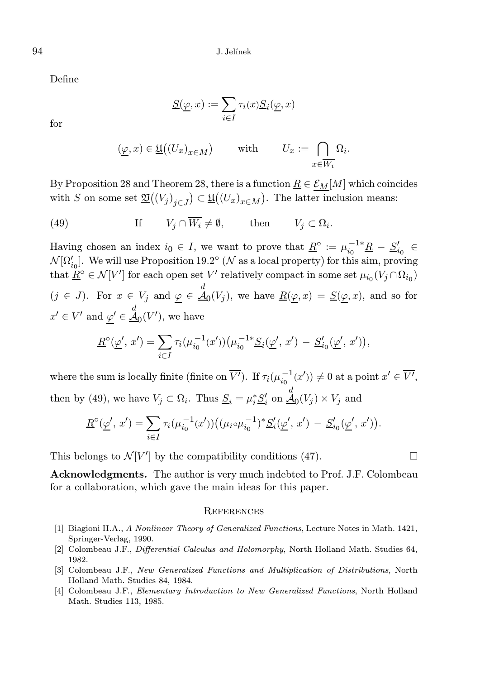Define

$$
\underline{S}(\underline{\varphi},x) := \sum_{i \in I} \tau_i(x) \underline{S}_i(\underline{\varphi},x)
$$

for

$$
(\underline{\varphi}, x) \in \underline{\mathfrak{U}}((U_x)_{x \in M}) \quad \text{with} \quad U_x := \bigcap_{x \in \overline{W_i}} \Omega_i.
$$

By Proposition 28 and Theorem 28, there is a function  $\underline{R} \in \mathcal{E}_M[M]$  which coincides with S on some set  $\mathfrak{V}((V_j)_{j\in J}) \subset \mathfrak{U}((U_x)_{x\in M})$ . The latter inclusion means:

(49) If  $V_j \cap W_i \neq \emptyset$ , then  $V_j \subset \Omega_i$ .

Having chosen an index  $i_0 \in I$ , we want to prove that  $\underline{R}^\circ := \mu_{i_0}^{-1*} \underline{R} - \underline{S}'_{i_0} \in$  $\mathcal{N}[\Omega'_{i_0}]$ . We will use Proposition 19.2° ( $\mathcal N$  as a local property) for this aim, proving that  $\underline{\tilde{R}}^{\circ} \in \mathcal{N}[V']$  for each open set  $V'$  relatively compact in some set  $\mu_{i_0}(V_j \cap \Omega_{i_0})$  $(j \in J)$ . For  $x \in V_j$  and  $\underline{\varphi} \in \underline{\mathcal{A}}_0(V_j)$ , we have  $\underline{R}(\underline{\varphi}, x) = \underline{S}(\underline{\varphi}, x)$ , and so for  $x' \in V'$  and  $\underline{\varphi}' \in \underline{\mathcal{A}}_0(V')$ , we have

$$
\underline{R}^{\circ}(\underline{\varphi}', x') = \sum_{i \in I} \tau_i(\mu_{i_0}^{-1}(x'))(\mu_{i_0}^{-1*} \underline{S}_i(\underline{\varphi}', x') - \underline{S}'_{i_0}(\underline{\varphi}', x')),
$$

where the sum is locally finite (finite on  $\overline{V'}$ ). If  $\tau_i(\mu_{i_0}^{-1}(x')) \neq 0$  at a point  $x' \in \overline{V'}$ , then by (49), we have  $V_j \subset \Omega_i$ . Thus  $\underline{S}_i = \mu_i^* \underline{S}'_i$  on  $\underline{A}_0(V_j) \times V_j$  and

$$
\underline{R}^{\circ}(\underline{\varphi}', x') = \sum_{i \in I} \tau_i(\mu_{i_0}^{-1}(x'))((\mu_i \circ \mu_{i_0}^{-1})^* \underline{S}'_i(\underline{\varphi}', x') - \underline{S}'_{i_0}(\underline{\varphi}', x')).
$$

This belongs to  $\mathcal{N}[V']$  by the compatibility conditions (47).

Acknowledgments. The author is very much indebted to Prof. J.F. Colombeau for a collaboration, which gave the main ideas for this paper.

#### **REFERENCES**

- [1] Biagioni H.A., A Nonlinear Theory of Generalized Functions, Lecture Notes in Math. 1421, Springer-Verlag, 1990.
- [2] Colombeau J.F., Differential Calculus and Holomorphy, North Holland Math. Studies 64, 1982.
- [3] Colombeau J.F., New Generalized Functions and Multiplication of Distributions, North Holland Math. Studies 84, 1984.
- [4] Colombeau J.F., Elementary Introduction to New Generalized Functions, North Holland Math. Studies 113, 1985.